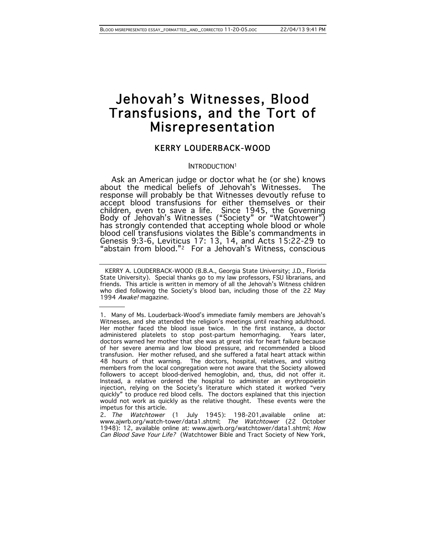# Jehovah's Witnesses, Blood Transfusions, and the Tort of Misrepresentation

# KERRY LOUDERBACK-WOOD

#### INTRODUCTION1

Ask an American judge or doctor what he (or she) knows about the medical beliefs of Jehovah's Witnesses. The response will probably be that Witnesses devoutly refuse to accept blood transfusions for either themselves or their children, even to save a life. Since 1945, the Governing Body of Jehovah's Witnesses ("Society" or "Watchtower") has strongly contended that accepting whole blood or whole blood cell transfusions violates the Bible's commandments in Genesis 9:3-6, Leviticus 17: 13, 14, and Acts 15:22-29 to "abstain from blood."2 For a Jehovah's Witness, conscious

2. The Watchtower (1 July 1945): 198-201,available online at: www.ajwrb.org/watch-tower/data1.shtml; The Watchtower (22 October 1948): 12, available online at: www.ajwrb.org/watchtower/data1.shtml; How Can Blood Save Your Life? (Watchtower Bible and Tract Society of New York,

KERRY A. LOUDERBACK-WOOD (B.B.A., Georgia State University; J.D., Florida State University). Special thanks go to my law professors, FSU librarians, and friends. This article is written in memory of all the Jehovah's Witness children who died following the Society's blood ban, including those of the 22 May 1994 Awake! magazine.

<sup>1.</sup> Many of Ms. Louderback-Wood's immediate family members are Jehovah's Witnesses, and she attended the religion's meetings until reaching adulthood. Her mother faced the blood issue twice. In the first instance, a doctor administered platelets to stop post-partum hemorrhaging. Years later, doctors warned her mother that she was at great risk for heart failure because of her severe anemia and low blood pressure, and recommended a blood transfusion. Her mother refused, and she suffered a fatal heart attack within 48 hours of that warning. The doctors, hospital, relatives, and visiting members from the local congregation were not aware that the Society allowed followers to accept blood-derived hemoglobin, and, thus, did not offer it. Instead, a relative ordered the hospital to administer an erythropoietin injection, relying on the Society's literature which stated it worked "very quickly" to produce red blood cells. The doctors explained that this injection would not work as quickly as the relative thought. These events were the impetus for this article.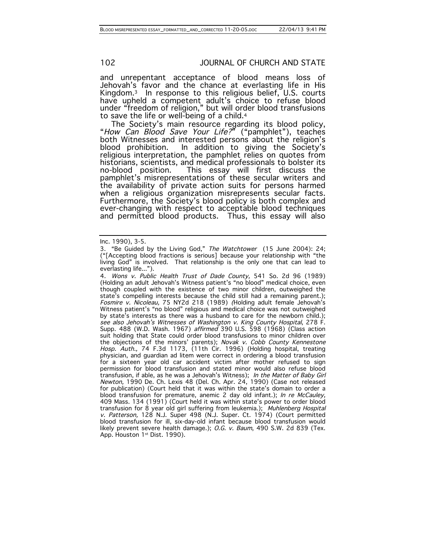and unrepentant acceptance of blood means loss of Jehovah's favor and the chance at everlasting life in His Kingdom.3 In response to this religious belief, U.S. courts have upheld a competent adult's choice to refuse blood under "freedom of religion," but will order blood transfusions to save the life or well-being of a child.4

The Society's main resource regarding its blood policy, "How Can Blood Save Your Life?" ("pamphlet"), teaches both Witnesses and interested persons about the religion's blood prohibition. In addition to giving the Society's religious interpretation, the pamphlet relies on quotes from historians, scientists, and medical professionals to bolster its no-blood position. This essay will first discuss the pamphlet's misrepresentations of these secular writers and the availability of private action suits for persons harmed when a religious organization misrepresents secular facts. Furthermore, the Society's blood policy is both complex and ever-changing with respect to acceptable blood techniques and permitted blood products. Thus, this essay will also

4. Wons v. Public Health Trust of Dade County, 541 So. 2d 96 (1989) (Holding an adult Jehovah's Witness patient's "no blood" medical choice, even though coupled with the existence of two minor children, outweighed the state's compelling interests because the child still had a remaining parent.); Fosmire v. Nicoleau, 75 NY2d 218 (1989) (Holding adult female Jehovah's Witness patient's "no blood" religious and medical choice was not outweighed by state's interests as there was a husband to care for the newborn child.); see also Jehovah's Witnesses of Washington v. King County Hospital, 278 F. Supp. 488 (W.D. Wash. 1967) affirmed 390 U.S. 598 (1968) (Class action suit holding that State could order blood transfusions to minor children over the objections of the minors' parents); Novak v. Cobb County Kennestone Hosp. Auth., 74 F.3d 1173, (11th Cir. 1996) (Holding hospital, treating physician, and guardian ad litem were correct in ordering a blood transfusion for a sixteen year old car accident victim after mother refused to sign permission for blood transfusion and stated minor would also refuse blood transfusion, if able, as he was a Jehovah's Witness); In the Matter of Baby Girl Newton, 1990 De. Ch. Lexis 48 (Del. Ch. Apr. 24, 1990) (Case not released for publication) (Court held that it was within the state's domain to order a blood transfusion for premature, anemic 2 day old infant.); In re McCauley, 409 Mass. 134 (1991) (Court held it was within state's power to order blood transfusion for 8 year old girl suffering from leukemia.); *Muhlenberg Hospital* v. Patterson, 128 N.J. Super 498 (N.J. Super. Ct. 1974) (Court permitted blood transfusion for ill, six-day-old infant because blood transfusion would likely prevent severe health damage.); O.G. v. Baum, 490 S.W. 2d 839 (Tex. App. Houston 1st Dist. 1990).

102 JOURNAL OF CHURCH AND STATE

Inc. 1990), 3-5.

<sup>3.</sup> "Be Guided by the Living God," The Watchtower (15 June 2004): 24; ("[Accepting blood fractions is serious] because your relationship with "the living God" is involved. That relationship is the only one that can lead to everlasting life...").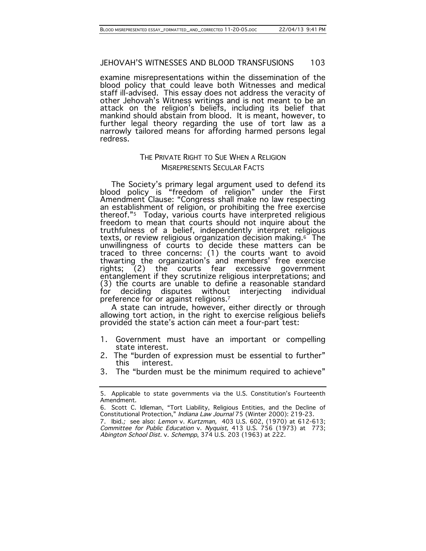examine misrepresentations within the dissemination of the blood policy that could leave both Witnesses and medical staff ill-advised. This essay does not address the veracity of other Jehovah's Witness writings and is not meant to be an attack on the religion's beliefs, including its belief that mankind should abstain from blood. It is meant, however, to further legal theory regarding the use of tort law as a narrowly tailored means for affording harmed persons legal redress.

# THE PRIVATE RIGHT TO SUE WHEN A RELIGION MISREPRESENTS SECULAR FACTS

The Society's primary legal argument used to defend its blood policy is "freedom of religion" under the First Amendment Clause: "Congress shall make no law respecting an establishment of religion, or prohibiting the free exercise thereof."5 Today, various courts have interpreted religious freedom to mean that courts should not inquire about the truthfulness of a belief, independently interpret religious texts, or review religious organization decision making.6 The unwillingness of courts to decide these matters can be traced to three concerns: (1) the courts want to avoid thwarting the organization's and members' free exercise rights; (2) the courts fear excessive government entanglement if they scrutinize religious interpretations; and (3) the courts are unable to define a reasonable standard for deciding disputes without interjecting individual preference for or against religions.7

A state can intrude, however, either directly or through allowing tort action, in the right to exercise religious beliefs provided the state's action can meet a four-part test:

- 1. Government must have an important or compelling state interest.
- 2. The "burden of expression must be essential to further" this interest.
- 3. The "burden must be the minimum required to achieve"

<sup>5.</sup> Applicable to state governments via the U.S. Constitution's Fourteenth Amendment.

<sup>6.</sup> Scott C. Idleman, "Tort Liability, Religious Entities, and the Decline of Constitutional Protection," Indiana Law Journal 75 (Winter 2000): 219-23.

<sup>7.</sup> Ibid.; see also: Lemon v. Kurtzman, 403 U.S. 602, (1970) at 612-613; Committee for Public Education v. Nyquist, 413 U.S. 756 (1973) at 773; Abington School Dist. v. Schempp, 374 U.S. 203 (1963) at 222.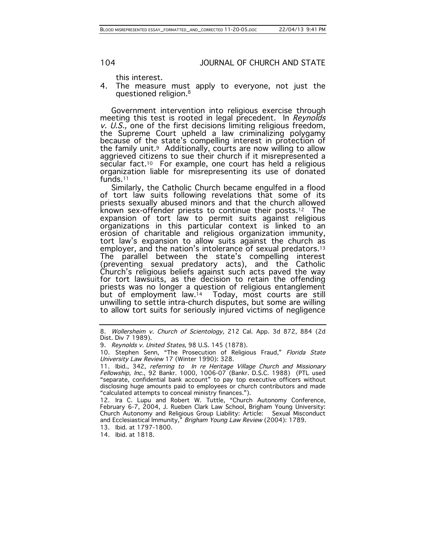this interest.

4. The measure must apply to everyone, not just the questioned religion.8

Government intervention into religious exercise through meeting this test is rooted in legal precedent. In Reynolds  $v.$  U.S., one of the first decisions limiting religious freedom, the Supreme Court upheld a law criminalizing polygamy because of the state's compelling interest in protection of the family unit.9 Additionally, courts are now willing to allow aggrieved citizens to sue their church if it misrepresented a secular fact.<sup>10</sup> For example, one court has held a religious organization liable for misrepresenting its use of donated funds.11

Similarly, the Catholic Church became engulfed in a flood of tort law suits following revelations that some of its priests sexually abused minors and that the church allowed known sex-offender priests to continue their posts.12 The expansion of tort law to permit suits against religious organizations in this particular context is linked to an erosion of charitable and religious organization immunity, tort law's expansion to allow suits against the church as employer, and the nation's intolerance of sexual predators.13 The parallel between the state's compelling interest (preventing sexual predatory acts), and the Catholic Church's religious beliefs against such acts paved the way for tort lawsuits, as the decision to retain the offending priests was no longer a question of religious entanglement but of employment law.<sup>14</sup> Today, most courts are still unwilling to settle intra-church disputes, but some are willing to allow tort suits for seriously injured victims of negligence

12. Ira C. Lupu and Robert W. Tuttle, "Church Autonomy Conference, February 6-7, 2004, J. Rueben Clark Law School, Brigham Young University: Church Autonomy and Religious Group Liability: Article: Sexual Misconduct and Ecclesiastical Immunity," Brigham Young Law Review (2004): 1789.

14. Ibid. at 1818.

<sup>8</sup>. Wollersheim v. Church of Scientology, 212 Cal. App. 3d 872, 884 (2d Dist. Div 7 1989).

<sup>9</sup>. Reynolds v. United States, 98 U.S. 145 (1878).

<sup>10.</sup> Stephen Senn, "The Prosecution of Religious Fraud," *Florida State* University Law Review 17 (Winter 1990): 328.

<sup>11.</sup> Ibid., 342, referring to In re Heritage Village Church and Missionary Fellowship, Inc., 92 Bankr. 1000, 1006-07 (Bankr. D.S.C. 1988) (PTL used "separate, confidential bank account" to pay top executive officers without disclosing huge amounts paid to employees or church contributors and made "calculated attempts to conceal ministry finances.").

<sup>13.</sup> Ibid. at 1797-1800.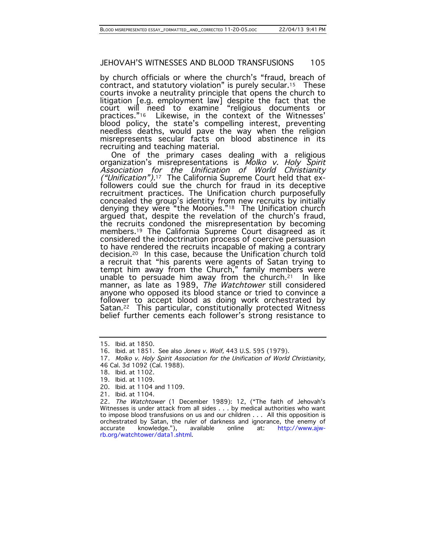by church officials or where the church's "fraud, breach of contract, and statutory violation" is purely secular.15 These courts invoke a neutrality principle that opens the church to litigation [e.g. employment law] despite the fact that the court will need to examine "religious documents or practices."16 Likewise, in the context of the Witnesses' blood policy, the state's compelling interest, preventing needless deaths, would pave the way when the religion misrepresents secular facts on blood abstinence in its recruiting and teaching material.

One of the primary cases dealing with a religious organization's misrepresentations is Molko v. Holy Spirit Association for the Unification of World Christianity ("Unification").<sup>17</sup> The California Supreme Court held that exfollowers could sue the church for fraud in its deceptive recruitment practices. The Unification church purposefully concealed the group's identity from new recruits by initially denying they were "the Moonies."<sup>18</sup> The Unification church argued that, despite the revelation of the church's fraud, the recruits condoned the misrepresentation by becoming members.19 The California Supreme Court disagreed as it considered the indoctrination process of coercive persuasion to have rendered the recruits incapable of making a contrary decision.20 In this case, because the Unification church told a recruit that "his parents were agents of Satan trying to tempt him away from the Church," family members were unable to persuade him away from the church.21 In like manner, as late as 1989, The Watchtower still considered anyone who opposed its blood stance or tried to convince a follower to accept blood as doing work orchestrated by Satan.<sup>22</sup> This particular, constitutionally protected Witness belief further cements each follower's strong resistance to

<sup>15.</sup> Ibid. at 1850.

<sup>16.</sup> Ibid. at 1851. See also Jones v. Wolf, 443 U.S. 595 (1979).

<sup>17</sup>. Molko v. Holy Spirit Association for the Unification of World Christianity, 46 Cal. 3d 1092 (Cal. 1988).

<sup>18.</sup> Ibid. at 1102.

<sup>19.</sup> Ibid. at 1109.

<sup>20.</sup> Ibid. at 1104 and 1109.

<sup>21.</sup> Ibid. at 1104.

<sup>22</sup>. The Watchtower (1 December 1989): 12, ("The faith of Jehovah's Witnesses is under attack from all sides . . . by medical authorities who want to impose blood transfusions on us and our children . . . All this opposition is orchestrated by Satan, the ruler of darkness and ignorance, the enemy of accurate knowledge."), available online at: http://www.ajwaccurate knowledge."), available online at: http://www.ajwrb.org/watchtower/data1.shtml.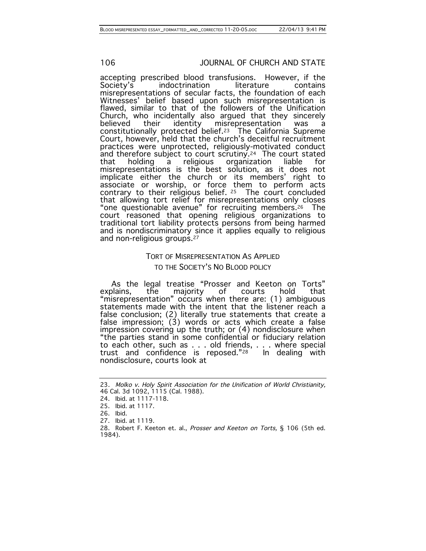accepting prescribed blood transfusions. However, if the Society's indoctrination literature contains misrepresentations of secular facts, the foundation of each Witnesses' belief based upon such misrepresentation is flawed, similar to that of the followers of the Unification Church, who incidentally also argued that they sincerely their identity misrepresentation was a constitutionally protected belief.23 The California Supreme Court, however, held that the church's deceitful recruitment practices were unprotected, religiously-motivated conduct and therefore subject to court scrutiny.24 The court stated that holding a religious organization liable for misrepresentations is the best solution, as it does not implicate either the church or its members' right to associate or worship, or force them to perform acts contrary to their religious belief. 25 The court concluded that allowing tort relief for misrepresentations only closes "one questionable avenue" for recruiting members.26 The court reasoned that opening religious organizations to traditional tort liability protects persons from being harmed and is nondiscriminatory since it applies equally to religious and non-religious groups.27

# TORT OF MISREPRESENTATION AS APPLIED TO THE SOCIETY'S NO BLOOD POLICY

As the legal treatise "Prosser and Keeton on Torts" explains, the majority of courts hold that "misrepresentation" occurs when there are: (1) ambiguous statements made with the intent that the listener reach a false conclusion; (2) literally true statements that create a false impression; (3) words or acts which create a false impression covering up the truth; or  $(4)$  nondisclosure when "the parties stand in some confidential or fiduciary relation to each other, such as . . . old friends, . . . where special trust and confidence is reposed."28 In dealing with nondisclosure, courts look at

<sup>23</sup>. Molko v. Holy Spirit Association for the Unification of World Christianity, 46 Cal. 3d 1092, 1115 (Cal. 1988).

<sup>24.</sup> Ibid. at 1117-118.

<sup>25.</sup> Ibid. at 1117.

<sup>26.</sup> Ibid.

<sup>27.</sup> Ibid. at 1119.

<sup>28.</sup> Robert F. Keeton et. al., Prosser and Keeton on Torts, § 106 (5th ed. 1984).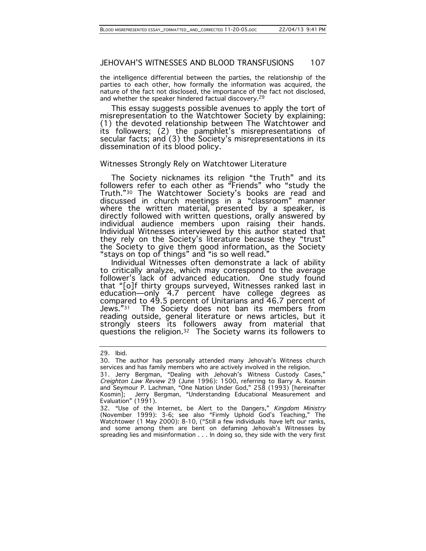the intelligence differential between the parties, the relationship of the parties to each other, how formally the information was acquired, the nature of the fact not disclosed, the importance of the fact not disclosed, and whether the speaker hindered factual discovery.29

This essay suggests possible avenues to apply the tort of misrepresentation to the Watchtower Society by explaining: (1) the devoted relationship between The Watchtower and its followers; (2) the pamphlet's misrepresentations of secular facts; and (3) the Society's misrepresentations in its dissemination of its blood policy.

#### Witnesses Strongly Rely on Watchtower Literature

The Society nicknames its religion "the Truth" and its followers refer to each other as "Friends" who "study the Truth."30 The Watchtower Society's books are read and discussed in church meetings in a "classroom" manner where the written material, presented by a speaker, is directly followed with written questions, orally answered by individual audience members upon raising their hands. Individual Witnesses interviewed by this author stated that they rely on the Society's literature because they "trust" the Society to give them good information, as the Society "stays on top of things" and "is so well read."

Individual Witnesses often demonstrate a lack of ability to critically analyze, which may correspond to the average follower's lack of advanced education. One study found that "[o]f thirty groups surveyed, Witnesses ranked last in education—only 4.7 percent have college degrees as compared to 49.5 percent of Unitarians and 46.7 percent of Jews."31 The Society does not ban its members from reading outside, general literature or news articles, but it strongly steers its followers away from material that questions the religion.32 The Society warns its followers to

<sup>29.</sup> Ibid.

<sup>30.</sup> The author has personally attended many Jehovah's Witness church services and has family members who are actively involved in the religion.

<sup>31.</sup> Jerry Bergman, "Dealing with Jehovah's Witness Custody Cases," Creighton Law Review 29 (June 1996): 1500, referring to Barry A. Kosmin and Seymour P. Lachman, "One Nation Under God," 258 (1993) [hereinafter Kosmin]; Jerry Bergman, "Understanding Educational Measurement and Evaluation" (1991).

<sup>32. &</sup>quot;Use of the Internet, be Alert to the Dangers," *Kingdom Ministry* (November 1999): 3-6; see also "Firmly Uphold God's Teaching," The Watchtower (1 May 2000): 8-10, ("Still a few individuals have left our ranks, and some among them are bent on defaming Jehovah's Witnesses by spreading lies and misinformation . . . In doing so, they side with the very first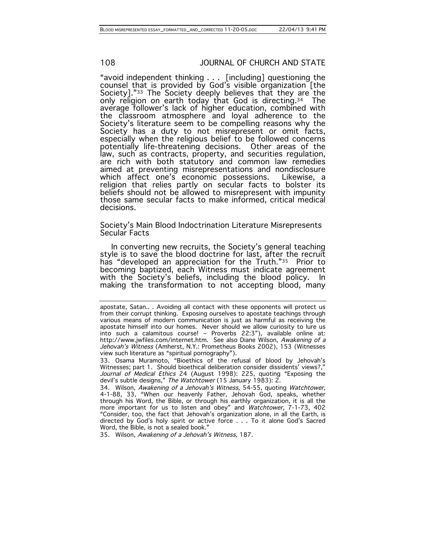"avoid independent thinking . . . [including] questioning the counsel that is provided by God's visible organization [the Society]."33 The Society deeply believes that they are the only religion on earth today that God is directing.34 The average follower's lack of higher education, combined with the classroom atmosphere and loyal adherence to the Society's literature seem to be compelling reasons why the Society has a duty to not misrepresent or omit facts, especially when the religious belief to be followed concerns potentially life-threatening decisions. Other areas of the law, such as contracts, property, and securities regulation, are rich with both statutory and common law remedies aimed at preventing misrepresentations and nondisclosure which affect one's economic possessions. Likewise, a religion that relies partly on secular facts to bolster its beliefs should not be allowed to misrepresent with impunity those same secular facts to make informed, critical medical decisions.

Society's Main Blood Indoctrination Literature Misrepresents Secular Facts

In converting new recruits, the Society's general teaching style is to save the blood doctrine for last, after the recruit has "developed an appreciation for the Truth."<sup>35</sup> Prior to becoming baptized, each Witness must indicate agreement with the Society's beliefs, including the blood policy. In making the transformation to not accepting blood, many

34. Wilson, Awakening of a Jehovah's Witness, 54-55, quoting Watchtower, 4-1-88, 33, "When our heavenly Father, Jehovah God, speaks, whether through his Word, the Bible, or through his earthly organization, it is all the more important for us to listen and obey" and Watchtower, 7-1-73, 402 "Consider, too, the fact that Jehovah's organization alone, in all the Earth, is directed by God's holy spirit or active force . . . To it alone God's Sacred Word, the Bible, is not a sealed book."

35. Wilson, Awakening of a Jehovah's Witness, 187.

apostate, Satan.. . Avoiding all contact with these opponents will protect us from their corrupt thinking. Exposing ourselves to apostate teachings through various means of modern communication is just as harmful as receiving the apostate himself into our homes. Never should we allow curiosity to lure us into such a calamitous course! – Proverbs 22:3"), available online at: http://www.jwfiles.com/internet.htm. See also Diane Wilson, Awakening of a Jehovah's Witness (Amherst, N.Y.: Prometheus Books 2002), 153 (Witnesses view such literature as "spiritual pornography").

<sup>33.</sup> Osama Muramoto, "Bioethics of the refusal of blood by Jehovah's Witnesses; part 1. Should bioethical deliberation consider dissidents' views?, Journal of Medical Ethics 24 (August 1998): 225, quoting "Exposing the devil's subtle designs," The Watchtower (15 January 1983): 2.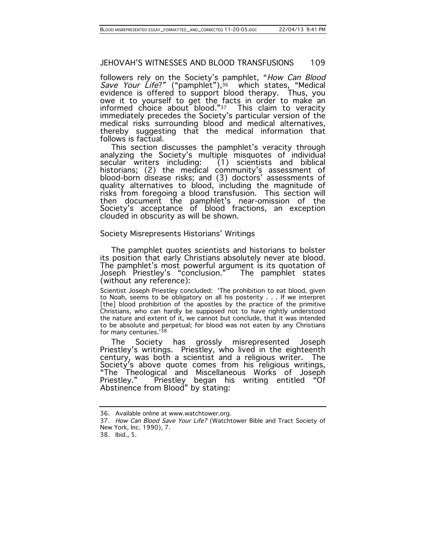followers rely on the Society's pamphlet, "How Can Blood Save Your Life?" ("pamphlet"),<sup>36</sup> which states, "Medical evidence is offered to support blood therapy. Thus, you owe it to yourself to get the facts in order to make an informed choice about blood."37 This claim to veracity immediately precedes the Society's particular version of the medical risks surrounding blood and medical alternatives, thereby suggesting that the medical information that follows is factual.

This section discusses the pamphlet's veracity through analyzing the Society's multiple misquotes of individual secular writers including: (1) scientists and biblical historians; (2) the medical community's assessment of blood-born disease risks; and (3) doctors' assessments of quality alternatives to blood, including the magnitude of risks from foregoing a blood transfusion. This section will then document the pamphlet's near-omission of the Society's acceptance of blood fractions, an exception clouded in obscurity as will be shown.

#### Society Misrepresents Historians' Writings

The pamphlet quotes scientists and historians to bolster its position that early Christians absolutely never ate blood. The pamphlet's most powerful argument is its quotation of Joseph Priestley's "conclusion." The pamphlet states (without any reference):

Scientist Joseph Priestley concluded: 'The prohibition to eat blood, given to Noah, seems to be obligatory on all his posterity . . . If we interpret [the] blood prohibition of the apostles by the practice of the primitive Christians, who can hardly be supposed not to have rightly understood the nature and extent of it, we cannot but conclude, that it was intended to be absolute and perpetual; for blood was not eaten by any Christians for many centuries.<sup>'38</sup>

The Society has grossly misrepresented Joseph Priestley's writings. Priestley, who lived in the eighteenth century, was both a scientist and a religious writer. The Society's above quote comes from his religious writings, "The Theological and Miscellaneous Works of Joseph Priestley." Priestley began his writing entitled "Of Abstinence from Blood" by stating:

<sup>36.</sup> Available online at www.watchtower.org.

<sup>37.</sup> How Can Blood Save Your Life? (Watchtower Bible and Tract Society of New York, Inc. 1990), 7.

<sup>38.</sup> Ibid., 5.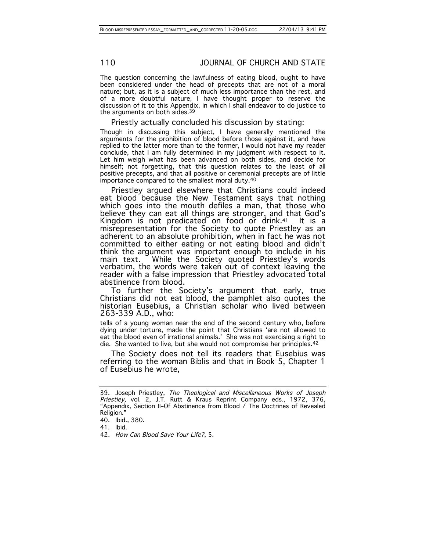The question concerning the lawfulness of eating blood, ought to have been considered under the head of precepts that are not of a moral nature; but, as it is a subject of much less importance than the rest, and of a more doubtful nature, I have thought proper to reserve the discussion of it to this Appendix, in which I shall endeavor to do justice to the arguments on both sides.39

#### Priestly actually concluded his discussion by stating:

Though in discussing this subject, I have generally mentioned the arguments for the prohibition of blood before those against it, and have replied to the latter more than to the former, I would not have my reader conclude, that I am fully determined in my judgment with respect to it. Let him weigh what has been advanced on both sides, and decide for himself; not forgetting, that this question relates to the least of all positive precepts, and that all positive or ceremonial precepts are of little importance compared to the smallest moral duty.<sup>40</sup>

Priestley argued elsewhere that Christians could indeed eat blood because the New Testament says that nothing which goes into the mouth defiles a man, that those who believe they can eat all things are stronger, and that God's Kingdom is not predicated on food or drink.41 It is a misrepresentation for the Society to quote Priestley as an adherent to an absolute prohibition, when in fact he was not committed to either eating or not eating blood and didn't think the argument was important enough to include in his While the Society quoted Priestley's words verbatim, the words were taken out of context leaving the reader with a false impression that Priestley advocated total abstinence from blood.

To further the Society's argument that early, true Christians did not eat blood, the pamphlet also quotes the historian Eusebius, a Christian scholar who lived between 263-339 A.D., who:

tells of a young woman near the end of the second century who, before dying under torture, made the point that Christians 'are not allowed to eat the blood even of irrational animals.' She was not exercising a right to die. She wanted to live, but she would not compromise her principles.42

The Society does not tell its readers that Eusebius was referring to the woman Biblis and that in Book 5, Chapter 1 of Eusebius he wrote,

<sup>39.</sup> Joseph Priestley, The Theological and Miscellaneous Works of Joseph Priestley, vol. 2, J.T. Rutt & Kraus Reprint Company eds., 1972, 376, "Appendix, Section II–Of Abstinence from Blood / The Doctrines of Revealed Religion."

<sup>40.</sup> Ibid., 380.

<sup>41.</sup> Ibid.

<sup>42</sup>. How Can Blood Save Your Life?, 5.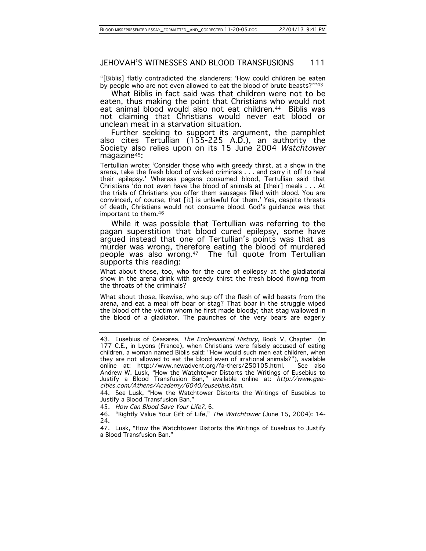"[Biblis] flatly contradicted the slanderers; 'How could children be eaten by people who are not even allowed to eat the blood of brute beasts?'"43

What Biblis in fact said was that children were not to be eaten, thus making the point that Christians who would not eat animal blood would also not eat children.44 Biblis was not claiming that Christians would never eat blood or unclean meat in a starvation situation.

Further seeking to support its argument, the pamphlet also cites Tertullian (155-225 A.D.), an authority the Society also relies upon on its 15 June 2004 Watchtower magazine45:

Tertullian wrote: 'Consider those who with greedy thirst, at a show in the arena, take the fresh blood of wicked criminals . . . and carry it off to heal their epilepsy.' Whereas pagans consumed blood, Tertullian said that Christians 'do not even have the blood of animals at [their] meals . . . At the trials of Christians you offer them sausages filled with blood. You are convinced, of course, that [it] is unlawful for them.' Yes, despite threats of death, Christians would not consume blood. God's guidance was that important to them.46

While it was possible that Tertullian was referring to the pagan superstition that blood cured epilepsy, some have argued instead that one of Tertullian's points was that as murder was wrong, therefore eating the blood of murdered people was also wrong.47 The full quote from Tertullian supports this reading:

What about those, too, who for the cure of epilepsy at the gladiatorial show in the arena drink with greedy thirst the fresh blood flowing from the throats of the criminals?

What about those, likewise, who sup off the flesh of wild beasts from the arena, and eat a meal off boar or stag? That boar in the struggle wiped the blood off the victim whom he first made bloody; that stag wallowed in the blood of a gladiator. The paunches of the very bears are eagerly

45. How Can Blood Save Your Life?, 6.

46. "Rightly Value Your Gift of Life," The Watchtower (June 15, 2004): 14- 24.

47. Lusk, "How the Watchtower Distorts the Writings of Eusebius to Justify a Blood Transfusion Ban."

<sup>43.</sup> Eusebius of Ceasarea, The Ecclesiastical History, Book V, Chapter (In 177 C.E., in Lyons (France), when Christians were falsely accused of eating children, a woman named Biblis said: "How would such men eat children, when they are not allowed to eat the blood even of irrational animals?"), available online at: http://www.newadvent.org/fa-thers/250105.html. See also Andrew W. Lusk, "How the Watchtower Distorts the Writings of Eusebius to Justify a Blood Transfusion Ban," available online at: http://www.geocities.com/Athens/Academy/6040/eusebius.htm.

<sup>44.</sup> See Lusk, "How the Watchtower Distorts the Writings of Eusebius to Justify a Blood Transfusion Ban."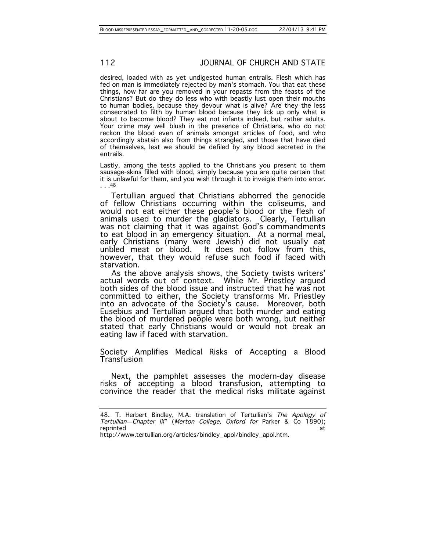desired, loaded with as yet undigested human entrails. Flesh which has fed on man is immediately rejected by man's stomach. You that eat these things, how far are you removed in your repasts from the feasts of the Christians? But do they do less who with beastly lust open their mouths to human bodies, because they devour what is alive? Are they the less consecrated to filth by human blood because they lick up only what is about to become blood? They eat not infants indeed, but rather adults. Your crime may well blush in the presence of Christians, who do not reckon the blood even of animals amongst articles of food, and who accordingly abstain also from things strangled, and those that have died of themselves, lest we should be defiled by any blood secreted in the entrails.

Lastly, among the tests applied to the Christians you present to them sausage-skins filled with blood, simply because you are quite certain that it is unlawful for them, and you wish through it to inveigle them into error. . . .48

Tertullian argued that Christians abhorred the genocide of fellow Christians occurring within the coliseums, and would not eat either these people's blood or the flesh of animals used to murder the gladiators. Clearly, Tertullian was not claiming that it was against God's commandments to eat blood in an emergency situation. At a normal meal, early Christians (many were Jewish) did not usually eat unbled meat or blood. It does not follow from this, however, that they would refuse such food if faced with starvation.

As the above analysis shows, the Society twists writers' actual words out of context. While Mr. Priestley argued both sides of the blood issue and instructed that he was not committed to either, the Society transforms Mr. Priestley into an advocate of the Society's cause. Moreover, both Eusebius and Tertullian argued that both murder and eating the blood of murdered people were both wrong, but neither stated that early Christians would or would not break an eating law if faced with starvation.

Society Amplifies Medical Risks of Accepting a Blood Transfusion

Next, the pamphlet assesses the modern-day disease risks of accepting a blood transfusion, attempting to convince the reader that the medical risks militate against

http://www.tertullian.org/articles/bindley\_apol/bindley\_apol.htm.

<sup>48.</sup> T. Herbert Bindley, M.A. translation of Tertullian's The Apology of Tertullian—Chapter IX" (Merton College, Oxford for Parker & Co 1890); reprinted at a state of the state of the state of the state of the state of the state of the state of the state of the state of the state of the state of the state of the state of the state of the state of the state of the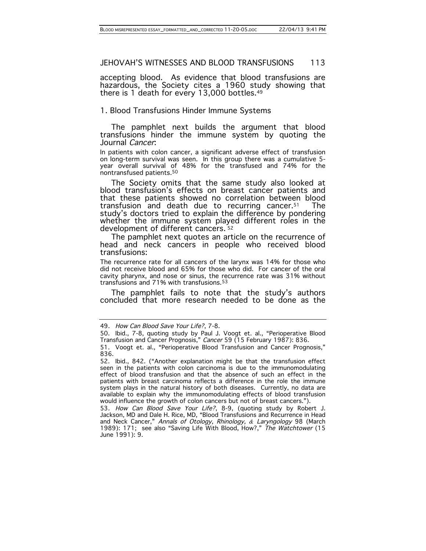accepting blood. As evidence that blood transfusions are hazardous, the Society cites a 1960 study showing that there is 1 death for every 13,000 bottles.49

### 1. Blood Transfusions Hinder Immune Systems

The pamphlet next builds the argument that blood transfusions hinder the immune system by quoting the Journal Cancer:

In patients with colon cancer, a significant adverse effect of transfusion on long-term survival was seen. In this group there was a cumulative 5 year overall survival of 48% for the transfused and 74% for the nontransfused patients.50

The Society omits that the same study also looked at blood transfusion's effects on breast cancer patients and that these patients showed no correlation between blood transfusion and death due to recurring cancer.51 The study's doctors tried to explain the difference by pondering whether the immune system played different roles in the development of different cancers. <sup>52</sup>

The pamphlet next quotes an article on the recurrence of head and neck cancers in people who received blood transfusions:

The recurrence rate for all cancers of the larynx was 14% for those who did not receive blood and 65% for those who did. For cancer of the oral cavity pharynx, and nose or sinus, the recurrence rate was 31% without transfusions and 71% with transfusions.53

The pamphlet fails to note that the study's authors concluded that more research needed to be done as the

<sup>49</sup>. How Can Blood Save Your Life?, 7-8.

<sup>50.</sup> Ibid., 7-8, quoting study by Paul J. Voogt et. al., "Perioperative Blood Transfusion and Cancer Prognosis," Cancer 59 (15 February 1987): 836.

<sup>51.</sup> Voogt et. al., "Perioperative Blood Transfusion and Cancer Prognosis," 836.

<sup>52.</sup> Ibid., 842. ("Another explanation might be that the transfusion effect seen in the patients with colon carcinoma is due to the immunomodulating effect of blood transfusion and that the absence of such an effect in the patients with breast carcinoma reflects a difference in the role the immune system plays in the natural history of both diseases. Currently, no data are available to explain why the immunomodulating effects of blood transfusion would influence the growth of colon cancers but not of breast cancers.").

<sup>53</sup>. How Can Blood Save Your Life?, 8-9, (quoting study by Robert J. Jackson, MD and Dale H. Rice, MD, "Blood Transfusions and Recurrence in Head and Neck Cancer," Annals of Otology, Rhinology, *&* Laryngology 98 (March 1989): 171; see also "Saving Life With Blood, How?," The Watchtower (15 June 1991): 9.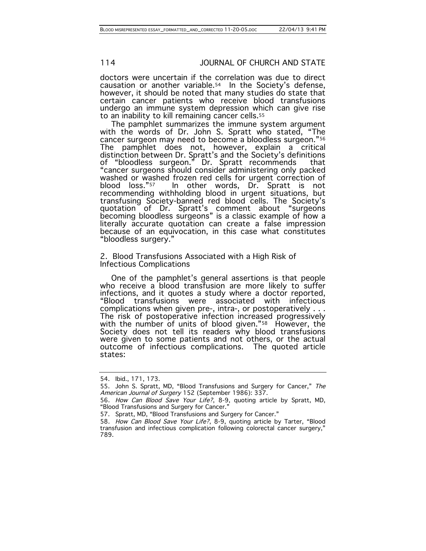doctors were uncertain if the correlation was due to direct causation or another variable.54 In the Society's defense, however, it should be noted that many studies do state that certain cancer patients who receive blood transfusions undergo an immune system depression which can give rise to an inability to kill remaining cancer cells.<sup>55</sup>

The pamphlet summarizes the immune system argument with the words of Dr. John S. Spratt who stated, "The cancer surgeon may need to become a bloodless surgeon."56 The pamphlet does not, however, explain a critical distinction between Dr. Spratt's and the Society's definitions of "bloodless surgeon." Dr. Spratt recommends that "cancer surgeons should consider administering only packed washed or washed frozen red cells for urgent correction of<br>blood loss."<sup>57</sup> ln other words, Dr. Spratt is not In other words, Dr. Spratt is not recommending withholding blood in urgent situations, but transfusing Society-banned red blood cells. The Society's quotation of Dr. Spratt's comment about "surgeons becoming bloodless surgeons" is a classic example of how a literally accurate quotation can create a false impression because of an equivocation, in this case what constitutes "bloodless surgery."

2. Blood Transfusions Associated with a High Risk of Infectious Complications

One of the pamphlet's general assertions is that people who receive a blood transfusion are more likely to suffer infections, and it quotes a study where a doctor reported, "Blood transfusions were associated with infectious complications when given pre-, intra-, or postoperatively . . . The risk of postoperative infection increased progressively with the number of units of blood given."<sup>58</sup> However, the Society does not tell its readers why blood transfusions were given to some patients and not others, or the actual outcome of infectious complications. The quoted article states:

<sup>54.</sup> Ibid., 171, 173.

<sup>55.</sup> John S. Spratt, MD, "Blood Transfusions and Surgery for Cancer," The American Journal of Surgery 152 (September 1986): 337.

<sup>56</sup>. How Can Blood Save Your Life?, 8-9, quoting article by Spratt, MD, "Blood Transfusions and Surgery for Cancer."

<sup>57.</sup> Spratt, MD, "Blood Transfusions and Surgery for Cancer."

<sup>58</sup>. How Can Blood Save Your Life?, 8-9, quoting article by Tarter, "Blood transfusion and infectious complication following colorectal cancer surgery," 789.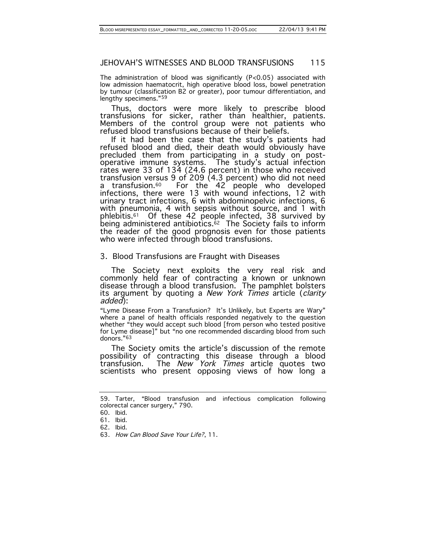The administration of blood was significantly (P<0.05) associated with low admission haematocrit, high operative blood loss, bowel penetration by tumour (classification B2 or greater), poor tumour differentiation, and lengthy specimens."59

Thus, doctors were more likely to prescribe blood transfusions for sicker, rather than healthier, patients. Members of the control group were not patients who refused blood transfusions because of their beliefs.

If it had been the case that the study's patients had refused blood and died, their death would obviously have precluded them from participating in a study on postoperative immune systems. The study's actual infection rates were 33 of 134 (24.6 percent) in those who received transfusion versus 9 of 209 (4.3 percent) who did not need a transfusion.60 For the 42 people who developed infections, there were 13 with wound infections, 12 with urinary tract infections, 6 with abdominopelvic infections, 6 with pneumonia, 4 with sepsis without source, and 1 with phlebitis.<sup>61</sup> Of these 42 people infected, 38 survived by being administered antibiotics.<sup>62</sup> The Society fails to inform the reader of the good prognosis even for those patients who were infected through blood transfusions.

### 3. Blood Transfusions are Fraught with Diseases

The Society next exploits the very real risk and commonly held fear of contracting a known or unknown disease through a blood transfusion. The pamphlet bolsters its argument by quoting a *New York Times* article (*clarity* added):

"Lyme Disease From a Transfusion? It's Unlikely, but Experts are Wary" where a panel of health officials responded negatively to the question whether "they would accept such blood [from person who tested positive for Lyme disease]" but "no one recommended discarding blood from such donors."63

The Society omits the article's discussion of the remote possibility of contracting this disease through a blood transfusion. The New York Times article quotes two scientists who present opposing views of how long a

<sup>59.</sup> Tarter, "Blood transfusion and infectious complication following colorectal cancer surgery," 790.

<sup>60.</sup> Ibid.

<sup>61.</sup> Ibid.

<sup>62.</sup> Ibid.

<sup>63</sup>. How Can Blood Save Your Life?, 11.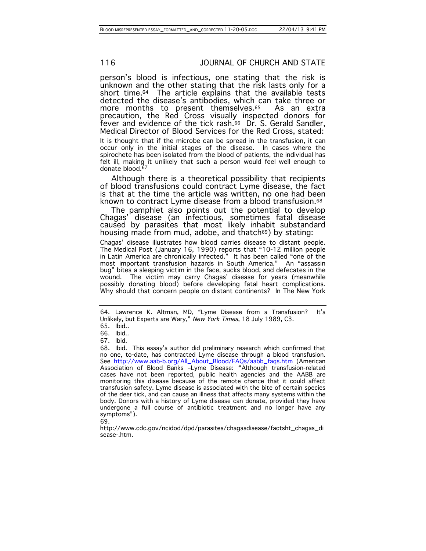person's blood is infectious, one stating that the risk is unknown and the other stating that the risk lasts only for a short time.64 The article explains that the available tests detected the disease's antibodies, which can take three or more months to present themselves.65 As an extra precaution, the Red Cross visually inspected donors for fever and evidence of the tick rash.66 Dr. S. Gerald Sandler, Medical Director of Blood Services for the Red Cross, stated:

It is thought that if the microbe can be spread in the transfusion, it can occur only in the initial stages of the disease. In cases where the spirochete has been isolated from the blood of patients, the individual has felt ill, making it unlikely that such a person would feel well enough to donate blood.67

Although there is a theoretical possibility that recipients of blood transfusions could contract Lyme disease, the fact is that at the time the article was written, no one had been known to contract Lyme disease from a blood transfusion.68

The pamphlet also points out the potential to develop Chagas' disease (an infectious, sometimes fatal disease caused by parasites that most likely inhabit substandard housing made from mud, adobe, and thatch<sup>69</sup>) by stating:

Chagas' disease illustrates how blood carries disease to distant people. The Medical Post (January 16, 1990) reports that "10-12 million people in Latin America are chronically infected." It has been called "one of the most important transfusion hazards in South America." An "assassin bug" bites a sleeping victim in the face, sucks blood, and defecates in the wound. The victim may carry Chagas' disease for years (meanwhile possibly donating blood) before developing fatal heart complications. Why should that concern people on distant continents? In The New York

<sup>64.</sup> Lawrence K. Altman, MD, "Lyme Disease from a Transfusion? It's Unlikely, but Experts are Wary," *New York Times*, 18 July 1989, C3. 65. Ibid..

<sup>66.</sup> Ibid..

<sup>67.</sup> Ibid.

<sup>68.</sup> Ibid. This essay's author did preliminary research which confirmed that no one, to-date, has contracted Lyme disease through a blood transfusion. See http://www.aab-b.org/All\_About\_Blood/FAQs/aabb\_faqs.htm (American Association of Blood Banks –Lyme Disease: "Although transfusion-related cases have not been reported, public health agencies and the AABB are monitoring this disease because of the remote chance that it could affect transfusion safety. Lyme disease is associated with the bite of certain species of the deer tick, and can cause an illness that affects many systems within the body. Donors with a history of Lyme disease can donate, provided they have undergone a full course of antibiotic treatment and no longer have any symptoms").

<sup>69.</sup>

http://www.cdc.gov/ncidod/dpd/parasites/chagasdisease/factsht\_chagas\_di sease-.htm.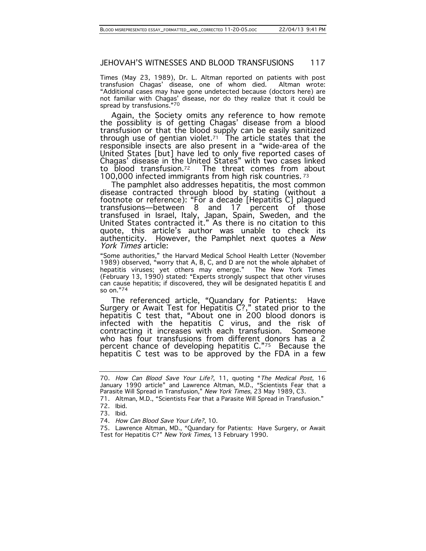Times (May 23, 1989), Dr. L. Altman reported on patients with post transfusion Chagas' disease, one of whom died. Altman wrote: "Additional cases may have gone undetected because (doctors here) are not familiar with Chagas' disease, nor do they realize that it could be spread by transfusions."70

Again, the Society omits any reference to how remote the possiblity is of getting Chagas' disease from a blood transfusion or that the blood supply can be easily sanitized through use of gentian violet. $71$  The article states that the responsible insects are also present in a "wide-area of the United States [but] have led to only five reported cases of Chagas' disease in the United States" with two cases linked to blood transfusion.72 The threat comes from about 100,000 infected immigrants from high risk countries. <sup>73</sup>

The pamphlet also addresses hepatitis, the most common disease contracted through blood by stating (without a footnote or reference): "For a decade [Hepatitis C] plaqued transfusions—between 8 and 17 percent of those transfused in Israel, Italy, Japan, Spain, Sweden, and the United States contracted it." As there is no citation to this quote, this article's author was unable to check its authenticity. However, the Pamphlet next quotes a New York Times article:

"Some authorities," the Harvard Medical School Health Letter (November 1989) observed, "worry that A, B, C, and D are not the whole alphabet of hepatitis viruses; yet others may emerge." The New York Times (February 13, 1990) stated: "Experts strongly suspect that other viruses can cause hepatitis; if discovered, they will be designated hepatitis E and so on."74

The referenced article, "Quandary for Patients: Have Surgery or Await Test for Hepatitis C?," stated prior to the hepatitis C test that, "About one in 200 blood donors is infected with the hepatitis C virus, and the risk of contracting it increases with each transfusion. Someone who has four transfusions from different donors has a 2 percent chance of developing hepatitis C."75 Because the hepatitis C test was to be approved by the FDA in a few

<sup>70</sup>. How Can Blood Save Your Life?, 11, quoting "The Medical Post, 16 January 1990 article" and Lawrence Altman, M.D., "Scientists Fear that a Parasite Will Spread in Transfusion," *New York Times*, 23 May 1989, C3.

<sup>71.</sup> Altman, M.D., "Scientists Fear that a Parasite Will Spread in Transfusion." 72. Ibid.

<sup>73.</sup> Ibid.

<sup>74.</sup> How Can Blood Save Your Life?, 10.

<sup>75.</sup> Lawrence Altman, MD., "Quandary for Patients: Have Surgery, or Await Test for Hepatitis C?" New York Times, 13 February 1990.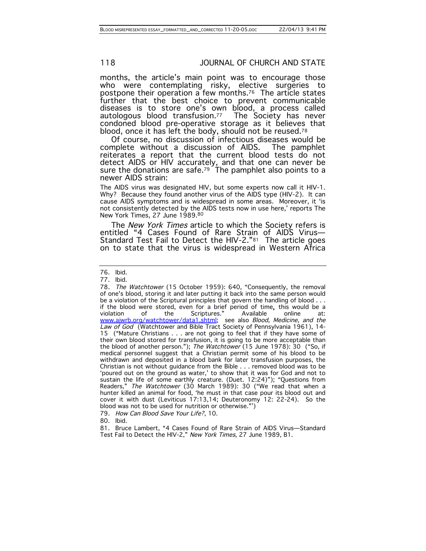months, the article's main point was to encourage those who were contemplating risky, elective surgeries to postpone their operation a few months.76 The article states further that the best choice to prevent communicable diseases is to store one's own blood, a process called<br>autologous blood transfusion.<sup>77</sup> The Society has never autologous blood transfusion.<sup>77</sup> condoned blood pre-operative storage as it believes that blood, once it has left the body, should not be reused.78

Of course, no discussion of infectious diseases would be complete without a discussion of AIDS. The pamphlet reiterates a report that the current blood tests do not detect AIDS or HIV accurately, and that one can never be sure the donations are safe.<sup>79</sup> The pamphlet also points to a newer AIDS strain:

The AIDS virus was designated HIV, but some experts now call it HIV-1. Why? Because they found another virus of the AIDS type (HIV-2). It can cause AIDS symptoms and is widespread in some areas. Moreover, it 'is not consistently detected by the AIDS tests now in use here,' reports The New York Times, 27 June 1989.80

The *New York Times* article to which the Society refers is entitled "4 Cases Found of Rare Strain of AIDS Virus— Standard Test Fail to Detect the HIV-2."81 The article goes on to state that the virus is widespread in Western Africa

80. Ibid.

81. Bruce Lambert, "4 Cases Found of Rare Strain of AIDS Virus—Standard Test Fail to Detect the HIV-2," New York Times, 27 June 1989, B1.

<sup>76.</sup> Ibid.

<sup>77.</sup> Ibid.

<sup>78</sup>. The Watchtower (15 October 1959): 640, "Consequently, the removal of one's blood, storing it and later putting it back into the same person would be a violation of the Scriptural principles that govern the handling of blood . . . if the blood were stored, even for a brief period of time, this would be a violation of the Scriptures." Available online at: www.ajwrb.org/watchtower/data1.shtml; see also Blood, Medicine, and the Law of God (Watchtower and Bible Tract Society of Pennsylvania 1961), 14-15 ("Mature Christians . . . are not going to feel that if they have some of their own blood stored for transfusion, it is going to be more acceptable than the blood of another person."); The Watchtower (15 June 1978): 30 ("So, if medical personnel suggest that a Christian permit some of his blood to be withdrawn and deposited in a blood bank for later transfusion purposes, the Christian is not without guidance from the Bible . . . removed blood was to be 'poured out on the ground as water,' to show that it was for God and not to sustain the life of some earthly creature. (Duet. 12:24)"); "Questions from Readers," The Watchtower (30 March 1989): 30 ("We read that when a hunter killed an animal for food, 'he must in that case pour its blood out and cover it with dust (Leviticus 17:13,14; Deuteronomy 12: 22-24). So the blood was not to be used for nutrition or otherwise."')

<sup>79</sup>. How Can Blood Save Your Life?, 10.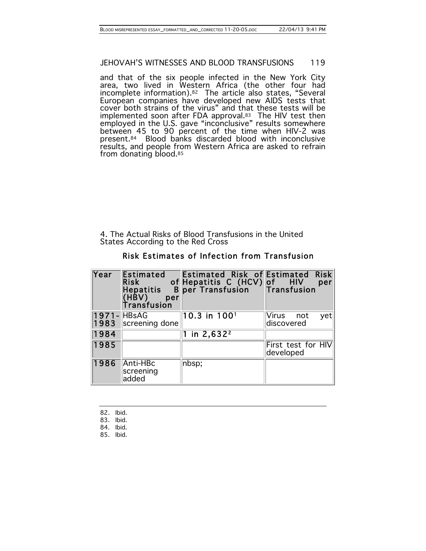and that of the six people infected in the New York City area, two lived in Western Africa (the other four had incomplete information).<sup>82</sup> The article also states, "Several European companies have developed new AIDS tests that cover both strains of the virus" and that these tests will be implemented soon after FDA approval.83 The HIV test then employed in the U.S. gave "inconclusive" results somewhere between 45 to 90 percent of the time when HIV-2 was present.84 Blood banks discarded blood with inconclusive results, and people from Western Africa are asked to refrain from donating blood.85

4. The Actual Risks of Blood Transfusions in the United States According to the Red Cross

# Risk Estimates of Infection from Transfusion

| Year           | <b>Estimated</b><br>Risk<br>Hepatitis<br>(HBV)<br>per<br>Transfusion | Estimated Risk of Estimated Risk<br>of Hepatitis C (HCV) of HIV per<br>B per Transfusion Transfusion |                                 |
|----------------|----------------------------------------------------------------------|------------------------------------------------------------------------------------------------------|---------------------------------|
| $1971 - HBSAG$ | $1983$ screening done                                                | $10.3$ in $1001$                                                                                     | Virus not<br>yet<br>discovered  |
| 1984           |                                                                      | 1 in $2,632^2$                                                                                       |                                 |
| 1985           |                                                                      |                                                                                                      | First test for HIV<br>developed |
|                | 1986 Anti-HBc<br>screening<br>added                                  | nbsp;                                                                                                |                                 |

- 82. Ibid.
- 83. Ibid.
- 84. Ibid.
- 85. Ibid.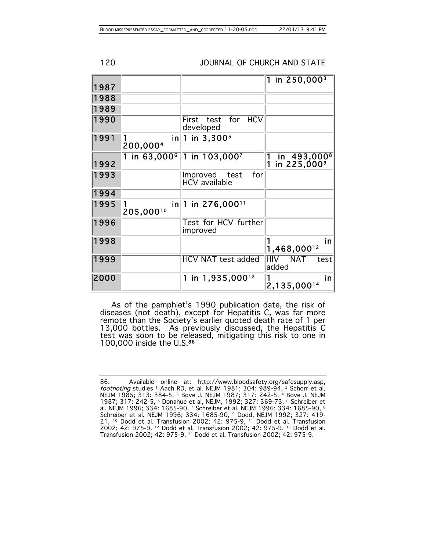| 1987 |                               |                                                 | in 250,000 <sup>3</sup><br>1                                 |
|------|-------------------------------|-------------------------------------------------|--------------------------------------------------------------|
| 1988 |                               |                                                 |                                                              |
| 1989 |                               |                                                 |                                                              |
| 1990 |                               | First test for HCV<br>developed                 |                                                              |
| 1991 | 200,000 <sup>4</sup>          | in $1$ in 3,300 <sup>5</sup>                    |                                                              |
| 1992 | in $63,000$ <sup>6</sup><br>1 | in 103,0007<br>$\mathbf{1}$                     | in 493,000 <sup>8</sup><br>1<br>in 225,000 <sup>9</sup><br>1 |
| 1993 |                               | for<br>Improved<br>test<br><b>HCV</b> available |                                                              |
| 1994 |                               |                                                 |                                                              |
| 1995 | 205,00010                     | in 1 in $276,000$ <sup>11</sup>                 |                                                              |
| 1996 |                               | Test for HCV further<br>improved                |                                                              |
| 1998 |                               |                                                 | in <br>1,468,00012                                           |
| 1999 |                               | <b>HCV NAT test added</b>                       | <b>NAT</b><br>HIV<br>test<br>added                           |
| 2000 |                               | in $1,935,000^{13}$<br>1                        | inl<br>$2,135,000^{14}$                                      |

As of the pamphlet's 1990 publication date, the risk of diseases (not death), except for Hepatitis C, was far more remote than the Society's earlier quoted death rate of 1 per 13,000 bottles. As previously discussed, the Hepatitis C test was soon to be released, mitigating this risk to one in 100,000 inside the U.S.86

<sup>86.</sup> Available online at: http://www.bloodsafety.org/safesupply.asp, footnoting studies <sup>1</sup> Aach RD, et al. NEJM 1981; 304: 989-94, <sup>2</sup> Schorr et al, NEJM 1985; 313: 384-5, 3 Bove J. NEJM 1987; 317: 242-5, 4 Bove J. NEJM 1987; 317: 242-5, 5 Donahue et al, NEJM, 1992; 327: 369-73, 6 Schreiber et al. NEJM 1996; 334: 1685-90, 7 Schreiber et al. NEJM 1996; 334: 1685-90, 8 Schreiber et al. NEJM 1996; 334: 1685-90, 9 Dodd, NEJM 1992; 327: 419- 21, 10 Dodd et al. Transfusion 2002; 42: 975-9, 11 Dodd et al. Transfusion 2002; 42: 975-9. 12 Dodd et al. Transfusion 2002; 42: 975-9. 13 Dodd et al. Transfusion 2002; 42: 975-9. 14 Dodd et al. Transfusion 2002; 42: 975-9.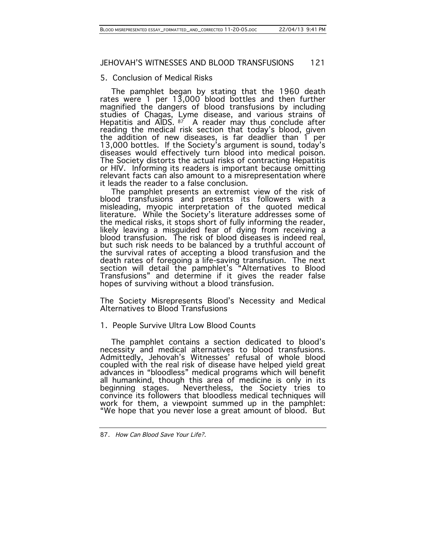# 5. Conclusion of Medical Risks

The pamphlet began by stating that the 1960 death rates were 1 per 13,000 blood bottles and then further magnified the dangers of blood transfusions by including studies of Chagas, Lyme disease, and various strains of Hepatitis and AIDS.  $87$  A reader may thus conclude after reading the medical risk section that today's blood, given the addition of new diseases, is far deadlier than 1 per 13,000 bottles. If the Society's argument is sound, today's diseases would effectively turn blood into medical poison. The Society distorts the actual risks of contracting Hepatitis or HIV. Informing its readers is important because omitting relevant facts can also amount to a misrepresentation where it leads the reader to a false conclusion.

The pamphlet presents an extremist view of the risk of blood transfusions and presents its followers with a misleading, myopic interpretation of the quoted medical literature. While the Society's literature addresses some of the medical risks, it stops short of fully informing the reader, likely leaving a misguided fear of dying from receiving a blood transfusion. The risk of blood diseases is indeed real, but such risk needs to be balanced by a truthful account of the survival rates of accepting a blood transfusion and the death rates of foregoing a life-saving transfusion. The next section will detail the pamphlet's "Alternatives to Blood Transfusions" and determine if it gives the reader false hopes of surviving without a blood transfusion.

The Society Misrepresents Blood's Necessity and Medical Alternatives to Blood Transfusions

1. People Survive Ultra Low Blood Counts

The pamphlet contains a section dedicated to blood's necessity and medical alternatives to blood transfusions. Admittedly, Jehovah's Witnesses' refusal of whole blood coupled with the real risk of disease have helped yield great advances in "bloodless" medical programs which will benefit all humankind, though this area of medicine is only in its<br>beginning stages. Nevertheless, the Society tries to Nevertheless, the Society tries to convince its followers that bloodless medical techniques will work for them, a viewpoint summed up in the pamphlet: "We hope that you never lose a great amount of blood. But

<sup>87</sup>. How Can Blood Save Your Life?.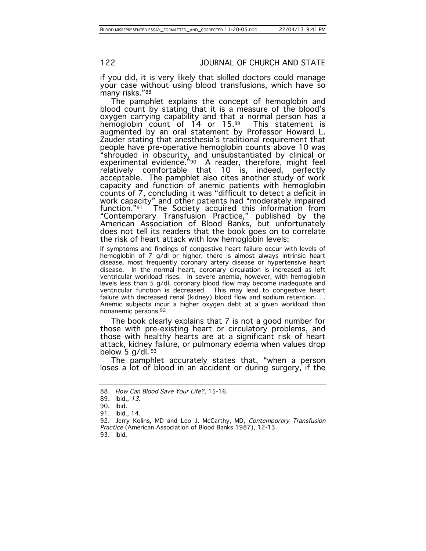if you did, it is very likely that skilled doctors could manage your case without using blood transfusions, which have so many risks."88

The pamphlet explains the concept of hemoglobin and blood count by stating that it is a measure of the blood's oxygen carrying capability and that a normal person has a hemoglobin count of 14 or 15.89 This statement is augmented by an oral statement by Professor Howard L. Zauder stating that anesthesia's traditional requirement that people have pre-operative hemoglobin counts above 10 was "shrouded in obscurity, and unsubstantiated by clinical or experimental evidence."90 A reader, therefore, might feel relatively comfortable that 10 is, indeed, perfectly acceptable. The pamphlet also cites another study of work capacity and function of anemic patients with hemoglobin counts of 7, concluding it was "difficult to detect a deficit in work capacity" and other patients had "moderately impaired function."91 The Society acquired this information from "Contemporary Transfusion Practice," published by the American Association of Blood Banks, but unfortunately does not tell its readers that the book goes on to correlate the risk of heart attack with low hemoglobin levels:

If symptoms and findings of congestive heart failure occur with levels of hemoglobin of 7 g/dl or higher, there is almost always intrinsic heart disease, most frequently coronary artery disease or hypertensive heart disease. In the normal heart, coronary circulation is increased as left ventricular workload rises. In severe anemia, however, with hemoglobin levels less than 5 g/dl, coronary blood flow may become inadequate and ventricular function is decreased. This may lead to congestive heart failure with decreased renal (kidney) blood flow and sodium retention. . . Anemic subjects incur a higher oxygen debt at a given workload than nonanemic persons.92

The book clearly explains that 7 is not a good number for those with pre-existing heart or circulatory problems, and those with healthy hearts are at a significant risk of heart attack, kidney failure, or pulmonary edema when values drop below  $5$  g/dl.  $93$ 

The pamphlet accurately states that, "when a person loses a lot of blood in an accident or during surgery, if the

<sup>88.</sup> How Can Blood Save Your Life?, 15-16.

<sup>89.</sup> Ibid., 13.

<sup>90.</sup> Ibid.

<sup>91.</sup> Ibid., 14.

<sup>92.</sup> Jerry Kolins, MD and Leo J. McCarthy, MD, Contemporary Transfusion Practice (American Association of Blood Banks 1987), 12-13. 93. Ibid.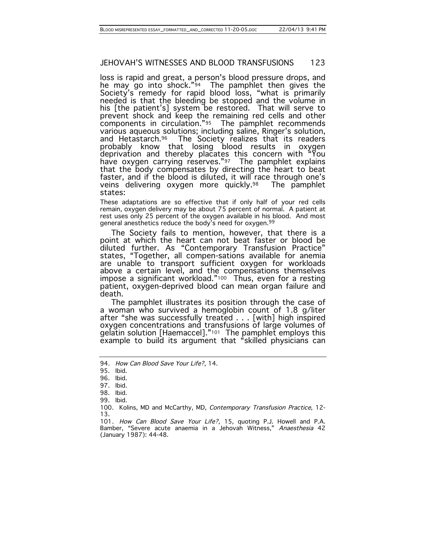loss is rapid and great, a person's blood pressure drops, and he may go into shock."94 The pamphlet then gives the Society's remedy for rapid blood loss, "what is primarily needed is that the bleeding be stopped and the volume in his [the patient's] system be restored. That will serve to prevent shock and keep the remaining red cells and other components in circulation."<sup>95</sup> The pamphlet recommends various aqueous solutions; including saline, Ringer's solution, and Hetastarch.96 The Society realizes that its readers probably know that losing blood results in oxygen deprivation and thereby placates this concern with "You have oxygen carrying reserves."97 The pamphlet explains that the body compensates by directing the heart to beat faster, and if the blood is diluted, it will race through one's veins delivering oxygen more quickly.98 The pamphlet states:

These adaptations are so effective that if only half of your red cells remain, oxygen delivery may be about 75 percent of normal. A patient at rest uses only 25 percent of the oxygen available in his blood. And most general anesthetics reduce the body's need for oxygen.99

The Society fails to mention, however, that there is a point at which the heart can not beat faster or blood be diluted further. As "Contemporary Transfusion Practice" states, "Together, all compen-sations available for anemia are unable to transport sufficient oxygen for workloads above a certain level, and the compensations themselves impose a significant workload."100 Thus, even for a resting patient, oxygen-deprived blood can mean organ failure and death.

The pamphlet illustrates its position through the case of a woman who survived a hemoglobin count of 1.8 g/liter after "she was successfully treated . . . [with] high inspired oxygen concentrations and transfusions of large volumes of gelatin solution [Haemaccel]."101 The pamphlet employs this example to build its argument that "skilled physicians can

<sup>94.</sup> How Can Blood Save Your Life?, 14.

<sup>95.</sup> Ibid.

<sup>96.</sup> Ibid.

<sup>97.</sup> Ibid.

<sup>98.</sup> Ibid.

<sup>99.</sup> Ibid.

<sup>100.</sup> Kolins, MD and McCarthy, MD, Contemporary Transfusion Practice, 12- 13.

<sup>101.</sup> How Can Blood Save Your Life?, 15, quoting P.J. Howell and P.A. Bamber, "Severe acute anaemia in a Jehovah Witness," Anaesthesia 42 (January 1987): 44-48.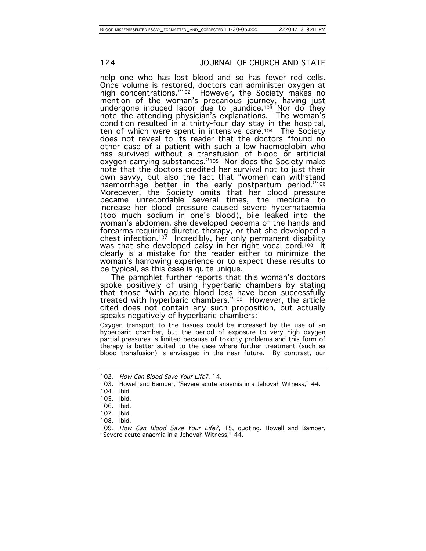help one who has lost blood and so has fewer red cells. Once volume is restored, doctors can administer oxygen at high concentrations."102 However, the Society makes no mention of the woman's precarious journey, having just undergone induced labor due to jaundice.103 Nor do they note the attending physician's explanations. The woman's condition resulted in a thirty-four day stay in the hospital, ten of which were spent in intensive care.<sup>104</sup> The Society does not reveal to its reader that the doctors "found no other case of a patient with such a low haemoglobin who has survived without a transfusion of blood or artificial oxygen-carrying substances."105 Nor does the Society make note that the doctors credited her survival not to just their own savvy, but also the fact that "women can withstand haemorrhage better in the early postpartum period."<sup>106</sup> Moreoever, the Society omits that her blood pressure became unrecordable several times, the medicine to increase her blood pressure caused severe hypernataemia (too much sodium in one's blood), bile leaked into the woman's abdomen, she developed oedema of the hands and forearms requiring diuretic therapy, or that she developed a chest infection.107 Incredibly, her only permanent disability was that she developed palsy in her right vocal cord.<sup>108</sup> It clearly is a mistake for the reader either to minimize the woman's harrowing experience or to expect these results to be typical, as this case is quite unique.

The pamphlet further reports that this woman's doctors spoke positively of using hyperbaric chambers by stating that those "with acute blood loss have been successfully treated with hyperbaric chambers."109 However, the article cited does not contain any such proposition, but actually speaks negatively of hyperbaric chambers:

Oxygen transport to the tissues could be increased by the use of an hyperbaric chamber, but the period of exposure to very high oxygen partial pressures is limited because of toxicity problems and this form of therapy is better suited to the case where further treatment (such as blood transfusion) is envisaged in the near future. By contrast, our

<sup>102</sup>. How Can Blood Save Your Life?, 14.

<sup>103.</sup> Howell and Bamber, "Severe acute anaemia in a Jehovah Witness," 44.

<sup>104.</sup> Ibid.

<sup>105.</sup> Ibid.

<sup>106.</sup> Ibid.

<sup>107.</sup> Ibid.

<sup>108.</sup> Ibid.

<sup>109.</sup> How Can Blood Save Your Life?, 15, quoting. Howell and Bamber, "Severe acute anaemia in a Jehovah Witness," 44.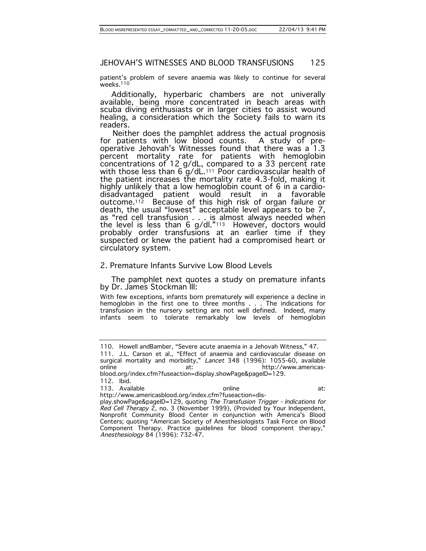patient's problem of severe anaemia was likely to continue for several weeks.110

Additionally, hyperbaric chambers are not univerally available, being more concentrated in beach areas with scuba diving enthusiasts or in larger cities to assist wound healing, a consideration which the Society fails to warn its readers.

Neither does the pamphlet address the actual prognosis for patients with low blood counts. A study of preoperative Jehovah's Witnesses found that there was a 1.3 percent mortality rate for patients with hemoglobin concentrations of 12 g/dL, compared to a 33 percent rate with those less than 6 g/dL.<sup>111</sup> Poor cardiovascular health of the patient increases the mortality rate 4.3-fold, making it highly unlikely that a low hemoglobin count of 6 in a cardiodisadvantaged patient would result in a favorable outcome.112 Because of this high risk of organ failure or death, the usual "lowest" acceptable level appears to be 7, as "red cell transfusion . . . is almost always needed when the level is less than 6 g/dl."113 However, doctors would probably order transfusions at an earlier time if they suspected or knew the patient had a compromised heart or circulatory system.

### 2. Premature Infants Survive Low Blood Levels

The pamphlet next quotes a study on premature infants by Dr. James Stockman III:

With few exceptions, infants born prematurely will experience a decline in hemoglobin in the first one to three months . . . The indications for transfusion in the nursery setting are not well defined. Indeed, many infants seem to tolerate remarkably low levels of hemoglobin

111. J.L. Carson et al., "Effect of anaemia and cardiovascular disease on surgical mortality and morbidity," Lancet 348 (1996): 1055-60, available online at: http://www.americasblood.org/index.cfm?fuseaction=display.showPage&pageID=129.

<sup>110.</sup> Howell andBamber, "Severe acute anaemia in a Jehovah Witness," 47.

<sup>112.</sup> Ibid.

<sup>113.</sup> Available **online** at:

http://www.americasblood.org/index.cfm?fuseaction=display.showPage&pageID=129, quoting The Transfusion Trigger - Indications for Red Cell Therapy 2, no. 3 (November 1999), (Provided by Your Independent, Nonprofit Community Blood Center in conjunction with America's Blood Centers; quoting "American Society of Anesthesiologists Task Force on Blood Component Therapy. Practice guidelines for blood component therapy," Anesthesiology 84 (1996): 732-47.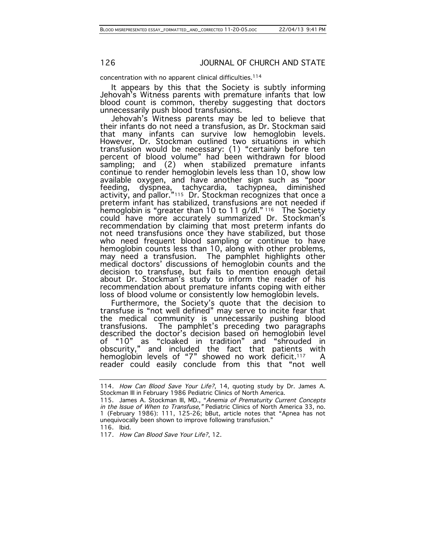concentration with no apparent clinical difficulties.114

It appears by this that the Society is subtly informing Jehovah's Witness parents with premature infants that low blood count is common, thereby suggesting that doctors unnecessarily push blood transfusions.

Jehovah's Witness parents may be led to believe that their infants do not need a transfusion, as Dr. Stockman said that many infants can survive low hemoglobin levels. However, Dr. Stockman outlined two situations in which transfusion would be necessary: (1) "certainly before ten percent of blood volume" had been withdrawn for blood sampling; and (2) when stabilized premature infants continue to render hemoglobin levels less than 10, show low available oxygen, and have another sign such as "poor feeding. dyspnea, tachycardia, tachypnea, diminished feeding, dyspnea, tachycardia, tachypnea, diminished activity, and pallor."115 Dr. Stockman recognizes that once a preterm infant has stabilized, transfusions are not needed if hemoglobin is "greater than 10 to 11 g/dl."<sup>116</sup> The Society could have more accurately summarized Dr. Stockman's recommendation by claiming that most preterm infants do not need transfusions once they have stabilized, but those who need frequent blood sampling or continue to have hemoglobin counts less than 10, along with other problems, may need a transfusion. The pamphlet highlights other medical doctors' discussions of hemoglobin counts and the decision to transfuse, but fails to mention enough detail about Dr. Stockman's study to inform the reader of his recommendation about premature infants coping with either loss of blood volume or consistently low hemoglobin levels.

Furthermore, the Society's quote that the decision to transfuse is "not well defined" may serve to incite fear that the medical community is unnecessarily pushing blood transfusions. The pamphlet's preceding two paragraphs described the doctor's decision based on hemoglobin level of "10" as "cloaked in tradition" and "shrouded in obscurity," and included the fact that patients with hemoglobin levels of "7" showed no work deficit.<sup>117</sup> A reader could easily conclude from this that "not well

116. Ibid.

<sup>114</sup>. How Can Blood Save Your Life?, 14, quoting study by Dr. James A. Stockman III in February 1986 Pediatric Clinics of North America.

<sup>115.</sup> James A. Stockman III, MD., "Anemia of Prematurity Current Concepts in the Issue of When to Transfuse," Pediatric Clinics of North America 33, no. 1 (February 1986): 111, 125-26; bBut, article notes that "Apnea has not unequivocally been shown to improve following transfusion."

<sup>117</sup>. How Can Blood Save Your Life?, 12.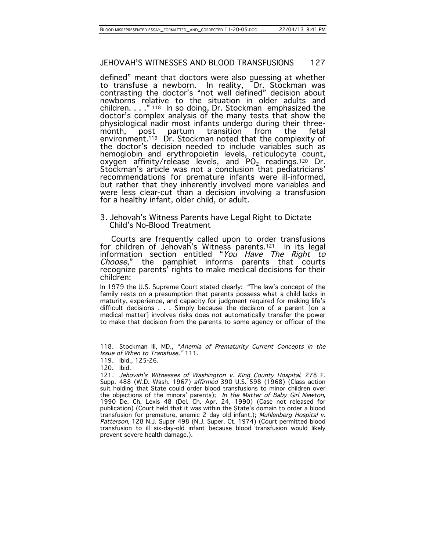defined" meant that doctors were also guessing at whether to transfuse a newborn. In reality, Dr. Stockman was contrasting the doctor's "not well defined" decision about newborns relative to the situation in older adults and children. . . ." 118 In so doing, Dr. Stockman emphasized the doctor's complex analysis of the many tests that show the physiological nadir most infants undergo during their threemonth, post partum transition from the fetal environment.<sup>119</sup> Dr. Stockman noted that the complexity of the doctor's decision needed to include variables such as hemoglobin and erythropoietin levels, reticulocyte count, oxygen affinity/release levels, and  $PO_2$  readings.<sup>120</sup> Dr. Stockman's article was not a conclusion that pediatricians' recommendations for premature infants were ill-informed, but rather that they inherently involved more variables and were less clear-cut than a decision involving a transfusion for a healthy infant, older child, or adult.

### 3. Jehovah's Witness Parents have Legal Right to Dictate Child's No-Blood Treatment

Courts are frequently called upon to order transfusions for children of Jehovah's Witness parents.121 In its legal information section entitled "You Have The Right to Choose," the pamphlet informs parents that courts recognize parents' rights to make medical decisions for their children:

In 1979 the U.S. Supreme Court stated clearly: "The law's concept of the family rests on a presumption that parents possess what a child lacks in maturity, experience, and capacity for judgment required for making life's difficult decisions . . . Simply because the decision of a parent [on a medical matter] involves risks does not automatically transfer the power to make that decision from the parents to some agency or officer of the

<sup>118.</sup> Stockman III, MD., "Anemia of Prematurity Current Concepts in the Issue of When to Transfuse," 111.

<sup>119.</sup> Ibid., 125-26.

<sup>120.</sup> Ibid.

<sup>121</sup>. Jehovah's Witnesses of Washington v. King County Hospital, 278 F. Supp. 488 (W.D. Wash. 1967) affirmed 390 U.S. 598 (1968) (Class action suit holding that State could order blood transfusions to minor children over the objections of the minors' parents); In the Matter of Baby Girl Newton, 1990 De. Ch. Lexis 48 (Del. Ch. Apr. 24, 1990) (Case not released for publication) (Court held that it was within the State's domain to order a blood transfusion for premature, anemic 2 day old infant.); Muhlenberg Hospital v. Patterson, 128 N.J. Super 498 (N.J. Super. Ct. 1974) (Court permitted blood transfusion to ill six-day-old infant because blood transfusion would likely prevent severe health damage.).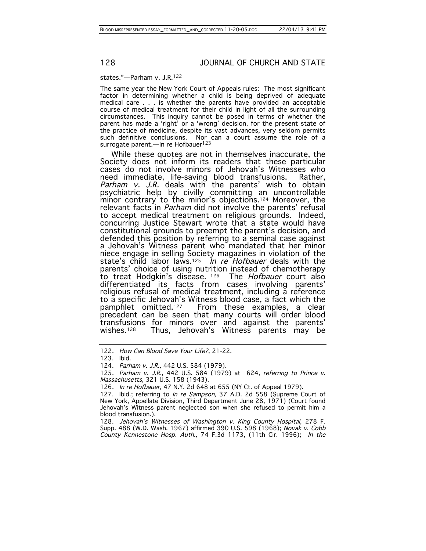#### states."—Parham v. J.R.122

The same year the New York Court of Appeals rules: The most significant factor in determining whether a child is being deprived of adequate medical care . . . is whether the parents have provided an acceptable course of medical treatment for their child in light of all the surrounding circumstances. This inquiry cannot be posed in terms of whether the parent has made a 'right' or a 'wrong' decision, for the present state of the practice of medicine, despite its vast advances, very seldom permits such definitive conclusions. Nor can a court assume the role of a surrogate parent.-In re Hofbauer<sup>123</sup>

While these quotes are not in themselves inaccurate, the Society does not inform its readers that these particular cases do not involve minors of Jehovah's Witnesses who need immediate, life-saving blood transfusions. Rather, Parham v. J.R. deals with the parents' wish to obtain psychiatric help by civilly committing an uncontrollable minor contrary to the minor's objections.124 Moreover, the relevant facts in *Parham* did not involve the parents' refusal to accept medical treatment on religious grounds. Indeed, concurring Justice Stewart wrote that a state would have constitutional grounds to preempt the parent's decision, and defended this position by referring to a seminal case against a Jehovah's Witness parent who mandated that her minor niece engage in selling Society magazines in violation of the state's child labor laws.<sup>125</sup> In re Hofbauer deals with the parents' choice of using nutrition instead of chemotherapy to treat Hodgkin's disease. <sup>126</sup> The Hofbauer court also<br>differentiated its facts from cases involving parents' religious refusal of medical treatment, including a reference to a specific Jehovah's Witness blood case, a fact which the pamphlet omitted.<sup>127</sup> From these examples, a clear From these examples, a clear precedent can be seen that many courts will order blood transfusions for minors over and against the parents' wishes.128 Thus, Jehovah's Witness parents may be

128. Jehovah's Witnesses of Washington v. King County Hospital, 278 F. Supp. 488 (W.D. Wash. 1967) affirmed 390 U.S. 598 (1968); Novak v. Cobb County Kennestone Hosp. Auth., 74 F.3d 1173, (11th Cir. 1996); In the

<sup>122</sup>. How Can Blood Save Your Life?, 21-22.

<sup>123.</sup> Ibid.

<sup>124</sup>. Parham v. J.R., 442 U.S. 584 (1979).

<sup>125</sup>. Parham v. J.R., 442 U.S. 584 (1979) at 624, referring to Prince v. Massachusetts, 321 U.S. 158 (1943).

<sup>126</sup>. In re Hofbauer, 47 N.Y. 2d 648 at 655 (NY Ct. of Appeal 1979).

<sup>127.</sup> Ibid.; referring to In re Sampson, 37 A.D. 2d 558 (Supreme Court of New York, Appellate Division, Third Department June 28, 1971) (Court found Jehovah's Witness parent neglected son when she refused to permit him a blood transfusion.).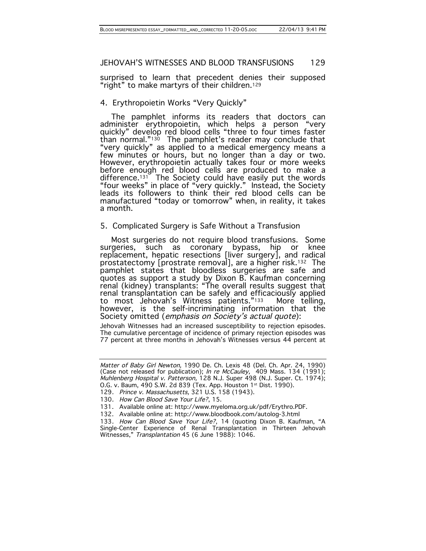surprised to learn that precedent denies their supposed "right" to make martyrs of their children.129

### 4. Erythropoietin Works "Very Quickly"

The pamphlet informs its readers that doctors can administer erythropoietin, which helps a person "very quickly" develop red blood cells "three to four times faster than normal."130 The pamphlet's reader may conclude that "very quickly" as applied to a medical emergency means a few minutes or hours, but no longer than a day or two. However, erythropoietin actually takes four or more weeks before enough red blood cells are produced to make a difference.<sup>131</sup> The Society could have easily put the words "four weeks" in place of "very quickly." Instead, the Society leads its followers to think their red blood cells can be manufactured "today or tomorrow" when, in reality, it takes a month.

### 5. Complicated Surgery is Safe Without a Transfusion

Most surgeries do not require blood transfusions. Some surgeries, such as coronary bypass, hip or knee replacement, hepatic resections [liver surgery], and radical prostatectomy [prostrate removal], are a higher risk.132 The pamphlet states that bloodless surgeries are safe and quotes as support a study by Dixon B. Kaufman concerning renal (kidney) transplants: "The overall results suggest that renal transplantation can be safely and efficaciously applied to most Jehovah's Witness patients."<sup>133</sup> More telling,<br>however, is the self-incriminating information that the Society omitted (emphasis on Society's actual quote):

Jehovah Witnesses had an increased susceptibility to rejection episodes. The cumulative percentage of incidence of primary rejection episodes was 77 percent at three months in Jehovah's Witnesses versus 44 percent at

Matter of Baby Girl Newton, 1990 De. Ch. Lexis 48 (Del. Ch. Apr. 24, 1990) (Case not released for publication); In re McCauley, 409 Mass. 134 (1991); Muhlenberg Hospital v. Patterson, 128 N.J. Super 498 (N.J. Super. Ct. 1974); O.G. v. Baum, 490 S.W. 2d 839 (Tex. App. Houston 1st Dist. 1990).

<sup>129.</sup> Prince v. Massachusetts, 321 U.S. 158 (1943).

<sup>130.</sup> How Can Blood Save Your Life?, 15.

<sup>131.</sup> Available online at: http://www.myeloma.org.uk/pdf/Erythro.PDF.

<sup>132.</sup> Available online at: http://www.bloodbook.com/autolog-3.html

<sup>133.</sup> How Can Blood Save Your Life?, 14 (quoting Dixon B. Kaufman, "A Single-Center Experience of Renal Transplantation in Thirteen Jehovah Witnesses," Transplantation 45 (6 June 1988): 1046.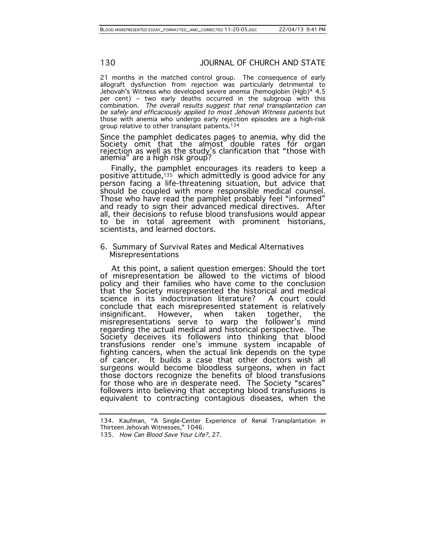21 months in the matched control group. The consequence of early allograft dysfunction from rejection was particularly detrimental to Jehovah's Witness who developed severe anemia (hemoglobin (Hgb)\* 4.5 per cent) – two early deaths occurred in the subgroup with this combination. The overall results suggest that renal transplantation can be safely and efficaciously applied to most Jehovah Witness patients but those with anemia who undergo early rejection episodes are a high-risk group relative to other transplant patients.134

Since the pamphlet dedicates pages to anemia, why did the Society omit that the almost double rates for organ rejection as well as the study's clarification that "those with anemia" are a high risk group?

Finally, the pamphlet encourages its readers to keep a positive attitude,135 which admittedly is good advice for any person facing a life-threatening situation, but advice that should be coupled with more responsible medical counsel. Those who have read the pamphlet probably feel "informed" and ready to sign their advanced medical directives. After all, their decisions to refuse blood transfusions would appear to be in total agreement with prominent historians, scientists, and learned doctors.

### 6. Summary of Survival Rates and Medical Alternatives Misrepresentations

At this point, a salient question emerges: Should the tort of misrepresentation be allowed to the victims of blood policy and their families who have come to the conclusion that the Society misrepresented the historical and medical science in its indoctrination literature? A court could conclude that each misrepresented statement is relatively insignificant. However, when taken together, the misrepresentations serve to warp the follower's mind regarding the actual medical and historical perspective. The Society deceives its followers into thinking that blood transfusions render one's immune system incapable of fighting cancers, when the actual link depends on the type of cancer. It builds a case that other doctors wish all surgeons would become bloodless surgeons, when in fact those doctors recognize the benefits of blood transfusions for those who are in desperate need. The Society "scares" followers into believing that accepting blood transfusions is equivalent to contracting contagious diseases, when the

<sup>134.</sup> Kaufman, "A Single-Center Experience of Renal Transplantation in Thirteen Jehovah Witnesses," 1046.

<sup>135</sup>. How Can Blood Save Your Life?, 27.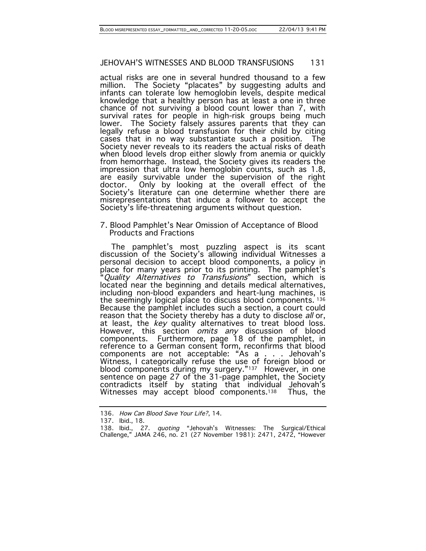actual risks are one in several hundred thousand to a few million. The Society "placates" by suggesting adults and infants can tolerate low hemoglobin levels, despite medical knowledge that a healthy person has at least a one in three chance of not surviving a blood count lower than 7, with survival rates for people in high-risk groups being much lower. The Society falsely assures parents that they can legally refuse a blood transfusion for their child by citing cases that in no way substantiate such a position. The Society never reveals to its readers the actual risks of death when blood levels drop either slowly from anemia or quickly from hemorrhage. Instead, the Society gives its readers the impression that ultra low hemoglobin counts, such as 1.8, are easily survivable under the supervision of the right doctor. Only by looking at the overall effect of the Society's literature can one determine whether there are misrepresentations that induce a follower to accept the Society's life-threatening arguments without question.

# 7. Blood Pamphlet's Near Omission of Acceptance of Blood Products and Fractions

The pamphlet's most puzzling aspect is its scant discussion of the Society's allowing individual Witnesses a personal decision to accept blood components, a policy in place for many years prior to its printing. The pamphlet's Quality Alternatives to Transfusions" section, which is located near the beginning and details medical alternatives, including non-blood expanders and heart-lung machines, is the seemingly logical place to discuss blood components. 136 Because the pamphlet includes such a section, a court could reason that the Society thereby has a duty to disclose all or, at least, the key quality alternatives to treat blood loss. However, this section *omits any* discussion of blood components. Furthermore, page 18 of the pamphlet, in reference to a German consent form, reconfirms that blood components are not acceptable: "As a . . . Jehovah's Witness, I categorically refuse the use of foreign blood or blood components during my surgery."137 However, in one sentence on page 27 of the 31-page pamphlet, the Society contradicts itself by stating that individual Jehovah's Witnesses may accept blood components.138 Thus, the

<sup>136.</sup> How Can Blood Save Your Life?, 14.

<sup>137.</sup> Ibid., 18.

<sup>138.</sup> Ibid., 27. *quoting* "Jehovah's Witnesses: The Surgical/Ethical Challenge," JAMA 246, no. 21 (27 November 1981): 2471, 2472, "However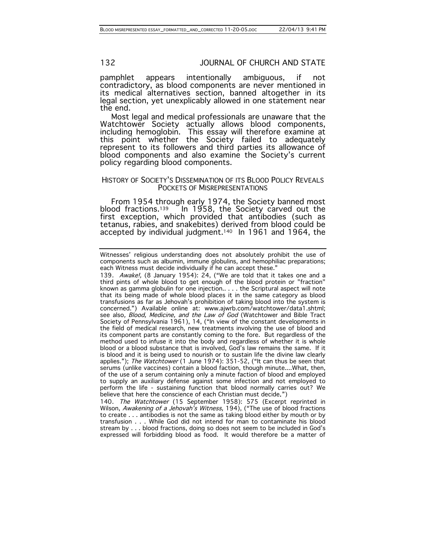pamphlet appears intentionally ambiguous, if not contradictory, as blood components are never mentioned in its medical alternatives section, banned altogether in its legal section, yet unexplicably allowed in one statement near the end.

Most legal and medical professionals are unaware that the Watchtower Society actually allows blood components, including hemoglobin. This essay will therefore examine at this point whether the Society failed to adequately represent to its followers and third parties its allowance of blood components and also examine the Society's current policy regarding blood components.

### HISTORY OF SOCIETY'S DISSEMINATION OF ITS BLOOD POLICY REVEALS POCKETS OF MISREPRESENTATIONS

From 1954 through early 1974, the Society banned most blood fractions. $139$  In 1958, the Society carved out the first exception, which provided that antibodies (such as tetanus, rabies, and snakebites) derived from blood could be accepted by individual judgment.140 In 1961 and 1964, the

139. Awake!, (8 January 1954): 24, ("We are told that it takes one and a third pints of whole blood to get enough of the blood protein or "fraction" known as gamma globulin for one injection.. . . . the Scriptural aspect will note that its being made of whole blood places it in the same category as blood transfusions as far as Jehovah's prohibition of taking blood into the system is concerned.") Available online at: www.ajwrb.com/watchtower/data1.shtml; see also, Blood, Medicine, and the Law of God (Watchtower and Bible Tract Society of Pennsylvania 1961), 14, ("In view of the constant developments in the field of medical research, new treatments involving the use of blood and its component parts are constantly coming to the fore. But regardless of the method used to infuse it into the body and regardless of whether it is whole blood or a blood substance that is involved, God's law remains the same. If it is blood and it is being used to nourish or to sustain life the divine law clearly applies."); The Watchtower (1 June 1974): 351-52, ("It can thus be seen that serums (unlike vaccines) contain a blood faction, though minute....What, then, of the use of a serum containing only a minute faction of blood and employed to supply an auxiliary defense against some infection and not employed to perform the life - sustaining function that blood normally carries out? We believe that here the conscience of each Christian must decide.")

140. The Watchtower (15 September 1958): 575 (Excerpt reprinted in Wilson, *Awakening of a Jehovah's Witness,* 194), ("The use of blood fractions to create . . . antibodies is not the same as taking blood either by mouth or by transfusion . . . While God did not intend for man to contaminate his blood stream by . . . blood fractions, doing so does not seem to be included in God's expressed will forbidding blood as food. It would therefore be a matter of

Witnesses' religious understanding does not absolutely prohibit the use of components such as albumin, immune globulins, and hemophiliac preparations; each Witness must decide individually if he can accept these."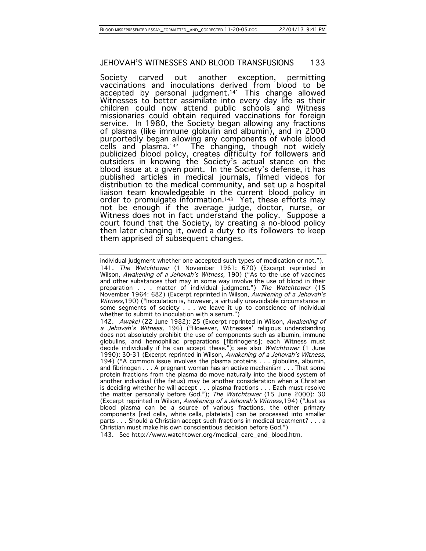Society carved out another exception, permitting vaccinations and inoculations derived from blood to be accepted by personal judgment.141 This change allowed Witnesses to better assimilate into every day life as their children could now attend public schools and Witness missionaries could obtain required vaccinations for foreign service. In 1980, the Society began allowing any fractions of plasma (like immune globulin and albumin), and in 2000 purportedly began allowing any components of whole blood cells and plasma.142 The changing, though not widely publicized blood policy, creates difficulty for followers and outsiders in knowing the Society's actual stance on the blood issue at a given point. In the Society's defense, it has published articles in medical journals, filmed videos for distribution to the medical community, and set up a hospital liaison team knowledgeable in the current blood policy in order to promulgate information.<sup>143</sup> Yet, these efforts may not be enough if the average judge, doctor, nurse, or Witness does not in fact understand the policy. Suppose a court found that the Society, by creating a no-blood policy then later changing it, owed a duty to its followers to keep them apprised of subsequent changes.

143. See http://www.watchtower.org/medical\_care\_and\_blood.htm.

individual judgment whether one accepted such types of medication or not."). 141. The Watchtower (1 November 1961: 670) (Excerpt reprinted in Wilson, Awakening of a Jehovah's Witness, 190) ("As to the use of vaccines and other substances that may in some way involve the use of blood in their preparation . . . matter of individual judgment.") The Watchtower (15 November 1964: 682) (Excerpt reprinted in Wilson, Awakening of a Jehovah's Witness,190) ("Inoculation is, however, a virtually unavoidable circumstance in some segments of society . . . we leave it up to conscience of individual whether to submit to inoculation with a serum.")

<sup>142.</sup> Awake! (22 June 1982): 25 (Excerpt reprinted in Wilson, Awakening of a Jehovah's Witness, 196) ("However, Witnesses' religious understanding does not absolutely prohibit the use of components such as albumin, immune globulins, and hemophiliac preparations [fibrinogens]; each Witness must decide individually if he can accept these."); see also *Watchtower* (1 June 1990): 30-31 (Excerpt reprinted in Wilson, Awakening of a Jehovah's Witness, 194) ("A common issue involves the plasma proteins . . . globulins, albumin, and fibrinogen . . . A pregnant woman has an active mechanism . . . That some protein fractions from the plasma do move naturally into the blood system of another individual (the fetus) may be another consideration when a Christian is deciding whether he will accept . . . plasma fractions . . . Each must resolve the matter personally before God."); The Watchtower (15 June 2000): 30 (Excerpt reprinted in Wilson, Awakening of a Jehovah's Witness,194) ("Just as blood plasma can be a source of various fractions, the other primary components [red cells, white cells, platelets] can be processed into smaller parts . . . Should a Christian accept such fractions in medical treatment? . . . a Christian must make his own conscientious decision before God.")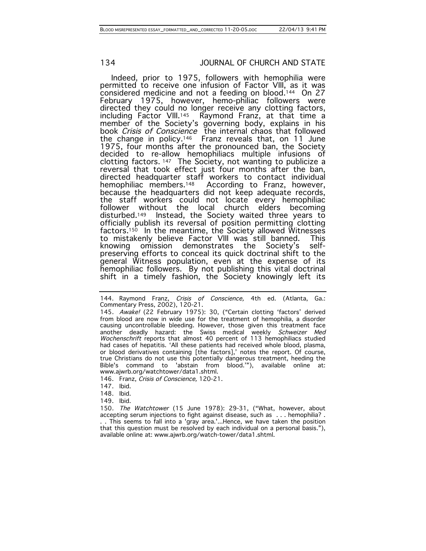Indeed, prior to 1975, followers with hemophilia were permitted to receive one infusion of Factor VIII, as it was considered medicine and not a feeding on blood.144 On 27 February 1975, however, hemo-philiac followers were directed they could no longer receive any clotting factors, including Factor VIII.145 Raymond Franz, at that time a member of the Society's governing body, explains in his book *Crisis of Conscience* the internal chaos that followed the change in policy.146 Franz reveals that, on 11 June 1975, four months after the pronounced ban, the Society decided to re-allow hemophiliacs multiple infusions of clotting factors. 147 The Society, not wanting to publicize a reversal that took effect just four months after the ban, directed headquarter staff workers to contact individual hemophiliac members.148 According to Franz, however, because the headquarters did not keep adequate records, the staff workers could not locate every hemophiliac follower without the local church elders becoming<br>disturbed.<sup>149</sup> Instead, the Society-waited-three-vears-to Instead, the Society waited three years to officially publish its reversal of position permitting clotting factors.<sup>150</sup> In the meantime, the Society allowed Witnesses to mistakenly believe Factor VIII was still banned. This knowing omission demonstrates the Society's selfpreserving efforts to conceal its quick doctrinal shift to the general Witness population, even at the expense of its hemophiliac followers. By not publishing this vital doctrinal shift in a timely fashion, the Society knowingly left its

145. Awake! (22 February 1975): 30, ("Certain clotting 'factors' derived from blood are now in wide use for the treatment of hemophilia, a disorder causing uncontrollable bleeding. However, those given this treatment face another deadly hazard: the Swiss medical weekly *Schweizer Med* Wochenschrift reports that almost 40 percent of 113 hemophiliacs studied had cases of hepatitis. 'All these patients had received whole blood, plasma, or blood derivatives containing [the factors],' notes the report. Of course, true Christians do not use this potentially dangerous treatment, heeding the Bible's command to 'abstain from blood.'"), available online at: www.ajwrb.org/watchtower/data1.shtml.

146. Franz, Crisis of Conscience, 120-21.

147. Ibid.

148. Ibid.

149. Ibid.

150. The Watchtower (15 June 1978): 29-31, ("What, however, about accepting serum injections to fight against disease, such as . . . hemophilia? .

. . This seems to fall into a 'gray area.'...Hence, we have taken the position that this question must be resolved by each individual on a personal basis."), available online at: www.ajwrb.org/watch-tower/data1.shtml.

<sup>144.</sup> Raymond Franz, Crisis of Conscience, 4th ed. (Atlanta, Ga.: Commentary Press, 2002), 120-21.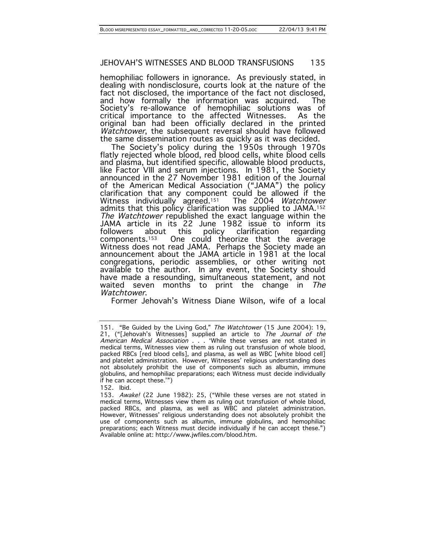hemophiliac followers in ignorance. As previously stated, in dealing with nondisclosure, courts look at the nature of the fact not disclosed, the importance of the fact not disclosed, and how formally the information was acquired. The Society's re-allowance of hemophiliac solutions was of critical importance to the affected Witnesses. As the original ban had been officially declared in the printed Watchtower, the subsequent reversal should have followed the same dissemination routes as quickly as it was decided.

The Society's policy during the 1950s through 1970s flatly rejected whole blood, red blood cells, white blood cells and plasma, but identified specific, allowable blood products, like Factor VIII and serum injections. In 1981, the Society announced in the 27 November 1981 edition of the Journal of the American Medical Association ("JAMA") the policy clarification that any component could be allowed if the<br>Witness individually agreed.<sup>151</sup> The 2004 Watchtower Witness individually agreed.<sup>151</sup> admits that this policy clarification was supplied to JAMA.<sup>152</sup> The Watchtower republished the exact language within the JAMA article in its 22 June 1982 issue to inform its followers about this policy clarification regarding components.153 One could theorize that the average Witness does not read JAMA. Perhaps the Society made an announcement about the JAMA article in 1981 at the local congregations, periodic assemblies, or other writing not available to the author. In any event, the Society should have made a resounding, simultaneous statement, and not waited seven months to print the change in The Watchtower.

Former Jehovah's Witness Diane Wilson, wife of a local

<sup>151.</sup> "Be Guided by the Living God," The Watchtower (15 June 2004): 19, 21, ("[Jehovah's Witnesses] supplied an article to *The Journal of the* American Medical Association . . . 'While these verses are not stated in medical terms, Witnesses view them as ruling out transfusion of whole blood, packed RBCs [red blood cells], and plasma, as well as WBC [white blood cell] and platelet administration. However, Witnesses' religious understanding does not absolutely prohibit the use of components such as albumin, immune globulins, and hemophiliac preparations; each Witness must decide individually if he can accept these.'")

<sup>152.</sup> Ibid.

<sup>153</sup>. Awake! (22 June 1982): 25, ("While these verses are not stated in medical terms, Witnesses view them as ruling out transfusion of whole blood, packed RBCs, and plasma, as well as WBC and platelet administration. However, Witnesses' religious understanding does not absolutely prohibit the use of components such as albumin, immune globulins, and hemophiliac preparations; each Witness must decide individually if he can accept these.") Available online at: http://www.jwfiles.com/blood.htm.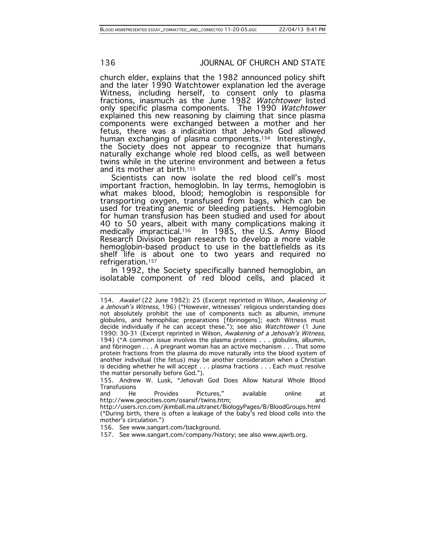church elder, explains that the 1982 announced policy shift and the later 1990 Watchtower explanation led the average Witness, including herself, to consent only to plasma fractions, inasmuch as the June 1982 Watchtower listed only specific plasma components. The 1990 Watchtower explained this new reasoning by claiming that since plasma components were exchanged between a mother and her fetus, there was a indication that Jehovah God allowed human exchanging of plasma components.154 Interestingly, the Society does not appear to recognize that humans naturally exchange whole red blood cells, as well between twins while in the uterine environment and between a fetus and its mother at birth.155

Scientists can now isolate the red blood cell's most important fraction, hemoglobin. In lay terms, hemoglobin is what makes blood, blood; hemoglobin is responsible for transporting oxygen, transfused from bags, which can be used for treating anemic or bleeding patients. Hemoglobin for human transfusion has been studied and used for about 40 to 50 years, albeit with many complications making it medically impractical.156 In 1985, the U.S. Army Blood Research Division began research to develop a more viable hemoglobin-based product to use in the battlefields as its shelf life is about one to two years and required no refrigeration.157

In 1992, the Society specifically banned hemoglobin, an isolatable component of red blood cells, and placed it

157. See www.sangart.com/company/history; see also www.ajwrb.org.

<sup>154</sup>. Awake! (22 June 1982): 25 (Excerpt reprinted in Wilson, Awakening of a Jehovah's Witness, 196) ("However, witnesses' religious understanding does not absolutely prohibit the use of components such as albumin, immune globulins, and hemophiliac preparations [fibrinogens]; each Witness must decide individually if he can accept these."); see also *Watchtower* (1 June 1990: 30-31 (Excerpt reprinted in Wilson, *Awakening of a Jehovah's Witness,* 194) ("A common issue involves the plasma proteins . . . globulins, albumin, and fibrinogen . . . A pregnant woman has an active mechanism . . . That some protein fractions from the plasma do move naturally into the blood system of another individual (the fetus) may be another consideration when a Christian is deciding whether he will accept . . . plasma fractions . . . Each must resolve the matter personally before God.").

<sup>155.</sup> Andrew W. Lusk, "Jehovah God Does Allow Natural Whole Blood **Transfusions** 

and He Provides Pictures," available online at http://www.geocities.com/osarsif/twins.htm; and

http://users.rcn.com/jkimball.ma.ultranet/BiologyPages/B/BloodGroups.html ("During birth, there is often a leakage of the baby's red blood cells into the mother's circulation.")

<sup>156.</sup> See www.sangart.com/background.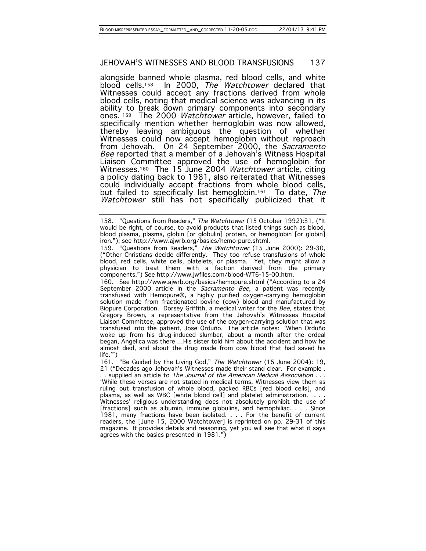alongside banned whole plasma, red blood cells, and white<br>blood cells.<sup>158</sup> In 2000, *The Watchtower* declared that In 2000, The Watchtower declared that Witnesses could accept any fractions derived from whole blood cells, noting that medical science was advancing in its ability to break down primary components into secondary ones. 159 The 2000 Watchtower article, however, failed to specifically mention whether hemoglobin was now allowed, thereby leaving ambiguous the question of whether Witnesses could now accept hemoglobin without reproach from Jehovah. On 24 September 2000, the *Sacramento* Bee reported that a member of a Jehovah's Witness Hospital Liaison Committee approved the use of hemoglobin for Witnesses.<sup>160</sup> The 15 June 2004 *Watchtower* article, citing a policy dating back to 1981, also reiterated that Witnesses could individually accept fractions from whole blood cells, but failed to specifically list hemoglobin.161 To date, The Watchtower still has not specifically publicized that it

159. "Questions from Readers," The Watchtower (15 June 2000): 29-30, ("Other Christians decide differently. They too refuse transfusions of whole blood, red cells, white cells, platelets, or plasma. Yet, they might allow a physician to treat them with a faction derived from the primary components.") See http://www.jwfiles.com/blood-WT6-15-00.htm.

160. See http://www.ajwrb.org/basics/hemopure.shtml ("According to a 24 September 2000 article in the *Sacramento Bee*, a patient was recently transfused with Hemopure®, a highly purified oxygen-carrying hemoglobin solution made from fractionated bovine (cow) blood and manufactured by Biopure Corporation. Dorsey Griffith, a medical writer for the Bee, states that Gregory Brown, a representative from the Jehovah's Witnesses Hospital Liaison Committee, approved the use of the oxygen-carrying solution that was transfused into the patient, Jose Orduño. The article notes: 'When Orduño woke up from his drug-induced slumber, about a month after the ordeal began, Angelica was there …His sister told him about the accident and how he almost died, and about the drug made from cow blood that had saved his life.'")

161. "Be Guided by the Living God," The Watchtower (15 June 2004): 19, 21 ("Decades ago Jehovah's Witnesses made their stand clear. For example .

. . supplied an article to The Journal of the American Medical Association . . . 'While these verses are not stated in medical terms, Witnesses view them as ruling out transfusion of whole blood, packed RBCs [red blood cells], and plasma, as well as WBC [white blood cell] and platelet administration. . . .

Witnesses' religious understanding does not absolutely prohibit the use of [fractions] such as albumin, immune globulins, and hemophiliac. . . . Since 1981, many fractions have been isolated. . . . For the benefit of current readers, the [June 15, 2000 Watchtower] is reprinted on pp. 29-31 of this magazine. It provides details and reasoning, yet you will see that what it says agrees with the basics presented in 1981.")

<sup>158.</sup> "Questions from Readers," The Watchtower (15 October 1992):31, ("It would be right, of course, to avoid products that listed things such as blood, blood plasma, plasma, globin [or globulin] protein, or hemoglobin [or globin] iron."); see http://www.ajwrb.org/basics/hemo-pure.shtml.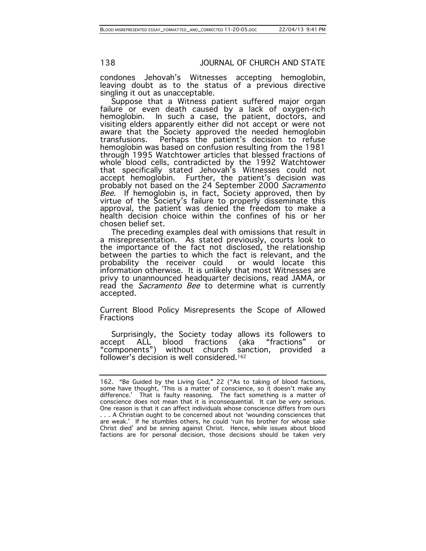condones Jehovah's Witnesses accepting hemoglobin, leaving doubt as to the status of a previous directive singling it out as unacceptable.

Suppose that a Witness patient suffered major organ failure or even death caused by a lack of oxygen-rich hemoglobin. In such a case, the patient, doctors, and visiting elders apparently either did not accept or were not aware that the Society approved the needed hemoglobin transfusions. Perhaps the patient's decision to refuse hemoglobin was based on confusion resulting from the 1981 through 1995 Watchtower articles that blessed fractions of whole blood cells, contradicted by the 1992 Watchtower that specifically stated Jehovah's Witnesses could not accept hemoglobin. Further, the patient's decision was probably not based on the 24 September 2000 *Sacramento* Bee. If hemoglobin is, in fact, Society approved, then by virtue of the Society's failure to properly disseminate this approval, the patient was denied the freedom to make a health decision choice within the confines of his or her chosen belief set.

The preceding examples deal with omissions that result in a misrepresentation. As stated previously, courts look to the importance of the fact not disclosed, the relationship between the parties to which the fact is relevant, and the probability the receiver could or would locate this information otherwise. It is unlikely that most Witnesses are privy to unannounced headquarter decisions, read JAMA, or read the *Sacramento Bee* to determine what is currently accepted.

Current Blood Policy Misrepresents the Scope of Allowed Fractions

Surprisingly, the Society today allows its followers to accept ALL blood fractions (aka "fractions" or "components") without church sanction, provided a follower's decision is well considered.162

<sup>162.</sup> "Be Guided by the Living God," 22 ("As to taking of blood factions, some have thought, 'This is a matter of conscience, so it doesn't make any difference.' That is faulty reasoning. The fact something is a matter of conscience does not mean that it is inconsequential. It can be very serious. One reason is that it can affect individuals whose conscience differs from ours . . . A Christian ought to be concerned about not 'wounding consciences that are weak.' If he stumbles others, he could 'ruin his brother for whose sake Christ died' and be sinning against Christ. Hence, while issues about blood factions are for personal decision, those decisions should be taken very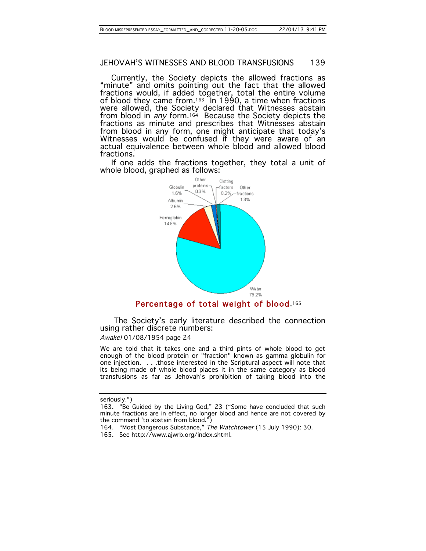Currently, the Society depicts the allowed fractions as "minute" and omits pointing out the fact that the allowed fractions would, if added together, total the entire volume of blood they came from.<sup>163</sup> In 1990, a time when fractions were allowed, the Society declared that Witnesses abstain from blood in any form.<sup>164</sup> Because the Society depicts the fractions as minute and prescribes that Witnesses abstain from blood in any form, one might anticipate that today's Witnesses would be confused if they were aware of an actual equivalence between whole blood and allowed blood fractions.

If one adds the fractions together, they total a unit of whole blood, graphed as follows:



Percentage of total weight of blood.165

 The Society's early literature described the connection using rather discrete numbers:

Awake! 01/08/1954 page 24

We are told that it takes one and a third pints of whole blood to get enough of the blood protein or "fraction" known as gamma globulin for one injection. . . .those interested in the Scriptural aspect will note that its being made of whole blood places it in the same category as blood transfusions as far as Jehovah's prohibition of taking blood into the

- 164. "Most Dangerous Substance," The Watchtower (15 July 1990): 30.
- 165. See http://www.ajwrb.org/index.shtml.

seriously.")

<sup>163.</sup> "Be Guided by the Living God," 23 ("Some have concluded that such minute fractions are in effect, no longer blood and hence are not covered by the command 'to abstain from blood.")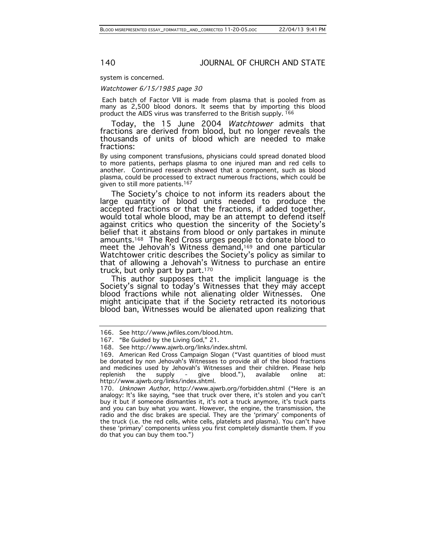system is concerned.

#### Watchtower 6/15/1985 page 30

 Each batch of Factor VIII is made from plasma that is pooled from as many as 2,500 blood donors. It seems that by importing this blood product the AIDS virus was transferred to the British supply. <sup>166</sup>

Today, the 15 June 2004 Watchtower admits that fractions are derived from blood, but no longer reveals the thousands of units of blood which are needed to make fractions:

By using component transfusions, physicians could spread donated blood to more patients, perhaps plasma to one injured man and red cells to another. Continued research showed that a component, such as blood plasma, could be processed to extract numerous fractions, which could be given to still more patients.167

The Society's choice to not inform its readers about the large quantity of blood units needed to produce the accepted fractions or that the fractions, if added together, would total whole blood, may be an attempt to defend itself against critics who question the sincerity of the Society's belief that it abstains from blood or only partakes in minute amounts.168 The Red Cross urges people to donate blood to meet the Jehovah's Witness demand,169 and one particular Watchtower critic describes the Society's policy as similar to that of allowing a Jehovah's Witness to purchase an entire truck, but only part by part.170

This author supposes that the implicit language is the Society's signal to today's Witnesses that they may accept blood fractions while not alienating older Witnesses. One might anticipate that if the Society retracted its notorious blood ban, Witnesses would be alienated upon realizing that

170. Unknown Author, http://www.ajwrb.org/forbidden.shtml ("Here is an analogy: It's like saying, "see that truck over there, it's stolen and you can't buy it but if someone dismantles it, it's not a truck anymore, it's truck parts and you can buy what you want. However, the engine, the transmission, the radio and the disc brakes are special. They are the 'primary' components of the truck (i.e. the red cells, white cells, platelets and plasma). You can't have these 'primary' components unless you first completely dismantle them. If you do that you can buy them too.")

<sup>166.</sup> See http://www.jwfiles.com/blood.htm.

<sup>167.</sup> "Be Guided by the Living God," 21.

<sup>168.</sup> See http://www.ajwrb.org/links/index.shtml.

<sup>169.</sup> American Red Cross Campaign Slogan ("Vast quantities of blood must be donated by non Jehovah's Witnesses to provide all of the blood fractions and medicines used by Jehovah's Witnesses and their children. Please help replenish the supply - give blood."), available online http://www.ajwrb.org/links/index.shtml.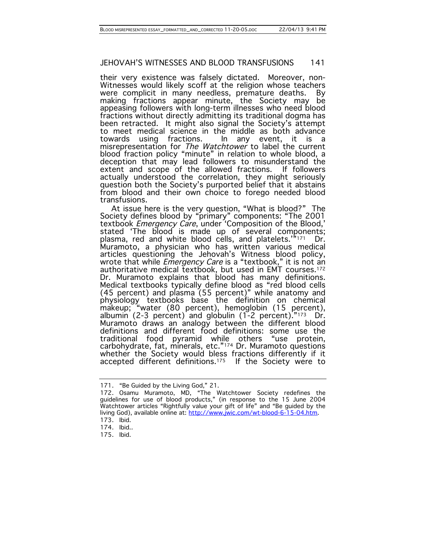their very existence was falsely dictated. Moreover, non-Witnesses would likely scoff at the religion whose teachers were complicit in many needless, premature deaths. By making fractions appear minute, the Society may be appeasing followers with long-term illnesses who need blood fractions without directly admitting its traditional dogma has been retracted. It might also signal the Society's attempt to meet medical science in the middle as both advance towards using fractions. In any event, it is a misrepresentation for *The Watchtower* to label the current blood fraction policy "minute" in relation to whole blood, a deception that may lead followers to misunderstand the extent and scope of the allowed fractions. If followers actually understood the correlation, they might seriously question both the Society's purported belief that it abstains from blood and their own choice to forego needed blood transfusions.

At issue here is the very question, "What is blood?" The Society defines blood by "primary" components: "The 2001 textbook Emergency Care, under 'Composition of the Blood,' stated 'The blood is made up of several components; plasma, red and white blood cells, and platelets.'"171 Dr. Muramoto, a physician who has written various medical articles questioning the Jehovah's Witness blood policy, wrote that while *Emergency Care* is a "textbook," it is not an authoritative medical textbook, but used in EMT courses.172 Dr. Muramoto explains that blood has many definitions. Medical textbooks typically define blood as "red blood cells (45 percent) and plasma (55 percent)" while anatomy and physiology textbooks base the definition on chemical makeup; "water (80 percent), hemoglobin (15 percent), albumin (2-3 percent) and globulin (1-2 percent)."173 Dr. Muramoto draws an analogy between the different blood definitions and different food definitions: some use the traditional food pyramid while others "use protein, carbohydrate, fat, minerals, etc."174 Dr. Muramoto questions whether the Society would bless fractions differently if it accepted different definitions.175 If the Society were to

<sup>171. &</sup>quot;Be Guided by the Living God," 21.

<sup>172.</sup> Osamu Muramoto, MD, "The Watchtower Society redefines the guidelines for use of blood products," (in response to the 15 June 2004 Watchtower articles "Rightfully value your gift of life" and "Be guided by the living God), available online at: http://www.jwic.com/wt-blood-6-15-04.htm. 173. Ibid.

<sup>174.</sup> Ibid..

<sup>175.</sup> Ibid.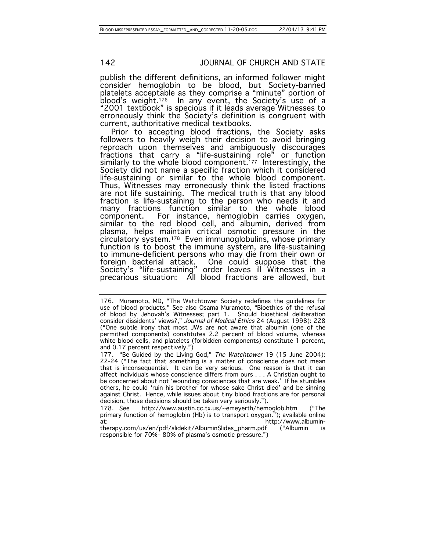publish the different definitions, an informed follower might consider hemoglobin to be blood, but Society-banned platelets acceptable as they comprise a "minute" portion of blood's weight.<sup>176</sup> In any event, the Society's use of a "2001 textbook" is specious if it leads average Witnesses to erroneously think the Society's definition is congruent with current, authoritative medical textbooks.

Prior to accepting blood fractions, the Society asks followers to heavily weigh their decision to avoid bringing reproach upon themselves and ambiguously discourages fractions that carry a "life-sustaining role" or function similarly to the whole blood component.<sup>177</sup> Interestingly, the Society did not name a specific fraction which it considered life-sustaining or similar to the whole blood component. Thus, Witnesses may erroneously think the listed fractions are not life sustaining. The medical truth is that any blood fraction is life-sustaining to the person who needs it and many fractions function similar to the whole blood component. For instance, hemoglobin carries oxygen, similar to the red blood cell, and albumin, derived from plasma, helps maintain critical osmotic pressure in the circulatory system.178 Even immunoglobulins, whose primary function is to boost the immune system, are life-sustaining to immune-deficient persons who may die from their own or foreign bacterial attack. One could suppose that the Society's "life-sustaining" order leaves ill Witnesses in a precarious situation: All blood fractions are allowed, but

therapy.com/us/en/pdf/slidekit/AlbuminSlides\_pharm.pdf ("Albumin is responsible for 70%– 80% of plasma's osmotic pressure.")

<sup>176.</sup> Muramoto, MD, "The Watchtower Society redefines the guidelines for use of blood products." See also Osama Muramoto, "Bioethics of the refusal of blood by Jehovah's Witnesses; part 1. Should bioethical deliberation consider dissidents' views?," Journal of Medical Ethics 24 (August 1998): 228 ("One subtle irony that most JWs are not aware that albumin (one of the permitted components) constitutes 2.2 percent of blood volume, whereas white blood cells, and platelets (forbidden components) constitute 1 percent, and 0.17 percent respectively.")

<sup>177. &</sup>quot;Be Guided by the Living God," The Watchtower 19 (15 June 2004): 22-24 ("The fact that something is a matter of conscience does not mean that is inconsequential. It can be very serious. One reason is that it can affect individuals whose conscience differs from ours . . . A Christian ought to be concerned about not 'wounding consciences that are weak.' If he stumbles others, he could 'ruin his brother for whose sake Christ died' and be sinning against Christ. Hence, while issues about tiny blood fractions are for personal decision, those decisions should be taken very seriously.").

<sup>178.</sup> See http://www.austin.cc.tx.us/~emeyerth/hemoglob.htm ("The primary function of hemoglobin (Hb) is to transport oxygen."); available online at: http://www.albumin-<br>therapy.com/us/en/pdf/slidekit/AlbuminSlides\_pharm.pdf ("Albumin is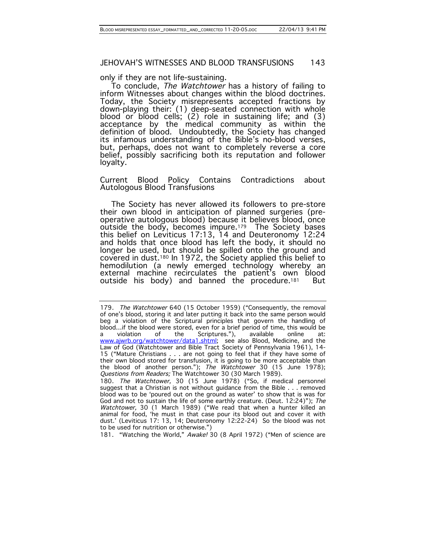only if they are not life-sustaining.

To conclude, The Watchtower has a history of failing to inform Witnesses about changes within the blood doctrines. Today, the Society misrepresents accepted fractions by down-playing their: (1) deep-seated connection with whole blood or blood cells; (2) role in sustaining life; and (3) acceptance by the medical community as within the definition of blood. Undoubtedly, the Society has changed its infamous understanding of the Bible's no-blood verses, but, perhaps, does not want to completely reverse a core belief, possibly sacrificing both its reputation and follower loyalty.

Current Blood Policy Contains Contradictions about Autologous Blood Transfusions

The Society has never allowed its followers to pre-store their own blood in anticipation of planned surgeries (preoperative autologous blood) because it believes blood, once outside the body, becomes impure.179 The Society bases this belief on Leviticus 17:13, 14 and Deuteronomy 12:24 and holds that once blood has left the body, it should no longer be used, but should be spilled onto the ground and covered in dust.180 In 1972, the Society applied this belief to hemodilution (a newly emerged technology whereby an external machine recirculates the patient's own blood outside his body) and banned the procedure.181 But

181. "Watching the World," Awake! 30 (8 April 1972) ("Men of science are

<sup>179.</sup> The Watchtower 640 (15 October 1959) ("Consequently, the removal of one's blood, storing it and later putting it back into the same person would beg a violation of the Scriptural principles that govern the handling of blood…if the blood were stored, even for a brief period of time, this would be a violation of the Scriptures."), available online at: a violation of the Scriptures."), available online at: www.ajwrb.org/watchtower/data1.shtml; see also Blood, Medicine, and the Law of God (Watchtower and Bible Tract Society of Pennsylvania 1961), 14-15 ("Mature Christians . . . are not going to feel that if they have some of their own blood stored for transfusion, it is going to be more acceptable than the blood of another person."); The Watchtower 30 (15 June 1978); Questions from Readers; The Watchtower 30 (30 March 1989). 180. The Watchtower, 30 (15 June 1978) ("So, if medical personnel suggest that a Christian is not without guidance from the Bible . . . removed

blood was to be 'poured out on the ground as water' to show that is was for God and not to sustain the life of some earthly creature. (Deut. 12:24)"); The Watchtower, 30 (1 March 1989) ("We read that when a hunter killed an animal for food, 'he must in that case pour its blood out and cover it with dust.' (Leviticus 17: 13, 14; Deuteronomy 12:22-24) So the blood was not to be used for nutrition or otherwise.")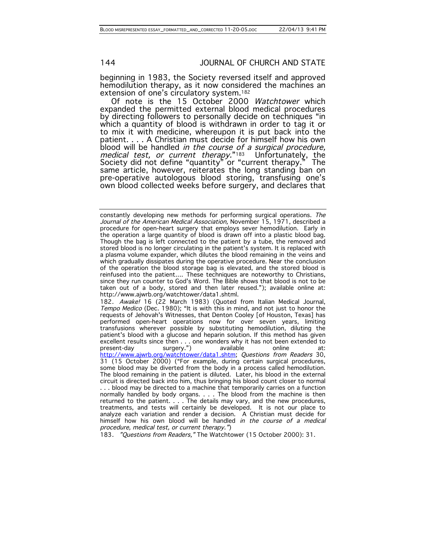beginning in 1983, the Society reversed itself and approved hemodilution therapy, as it now considered the machines an extension of one's circulatory system.182

Of note is the 15 October 2000 Watchtower which expanded the permitted external blood medical procedures by directing followers to personally decide on techniques "in which a quantity of blood is withdrawn in order to tag it or to mix it with medicine, whereupon it is put back into the patient. . . . A Christian must decide for himself how his own blood will be handled in the course of a surgical procedure, medical test, or current therapy."<sup>183</sup> Unfortunately, the Society did not define "quantity" or "current therapy." The same article, however, reiterates the long standing ban on pre-operative autologous blood storing, transfusing one's own blood collected weeks before surgery, and declares that

182. Awake! 16 (22 March 1983) (Quoted from Italian Medical Journal, Tempo Medico (Dec. 1980); "It is with this in mind, and not just to honor the requests of Jehovah's Witnesses, that Denton Cooley [of Houston, Texas] has performed open-heart operations now for over seven years, limiting transfusions wherever possible by substituting hemodilution, diluting the patient's blood with a glucose and heparin solution. If this method has given excellent results since then . . . one wonders why it has not been extended to present-day surgery.") available online at: http://www.ajwrb.org/watchtower/data1.shtm; Questions from Readers 30, 31 (15 October 2000) ("For example, during certain surgical procedures, some blood may be diverted from the body in a process called hemodilution. The blood remaining in the patient is diluted. Later, his blood in the external circuit is directed back into him, thus bringing his blood count closer to normal . . . blood may be directed to a machine that temporarily carries on a function normally handled by body organs. . . . The blood from the machine is then returned to the patient. . . . The details may vary, and the new procedures, treatments, and tests will certainly be developed. It is not our place to analyze each variation and render a decision. A Christian must decide for himself how his own blood will be handled in the course of a medical procedure, medical test, or current therapy.")

183. "Questions from Readers," The Watchtower (15 October 2000): 31.

constantly developing new methods for performing surgical operations. The Journal of the American Medical Association, November 15, 1971, described a procedure for open-heart surgery that employs sever hemodilution. Early in the operation a large quantity of blood is drawn off into a plastic blood bag. Though the bag is left connected to the patient by a tube, the removed and stored blood is no longer circulating in the patient's system. It is replaced with a plasma volume expander, which dilutes the blood remaining in the veins and which gradually dissipates during the operative procedure. Near the conclusion of the operation the blood storage bag is elevated, and the stored blood is reinfused into the patient…. These techniques are noteworthy to Christians, since they run counter to God's Word. The Bible shows that blood is not to be taken out of a body, stored and then later reused."); available online at: http://www.ajwrb.org/watchtower/data1.shtml.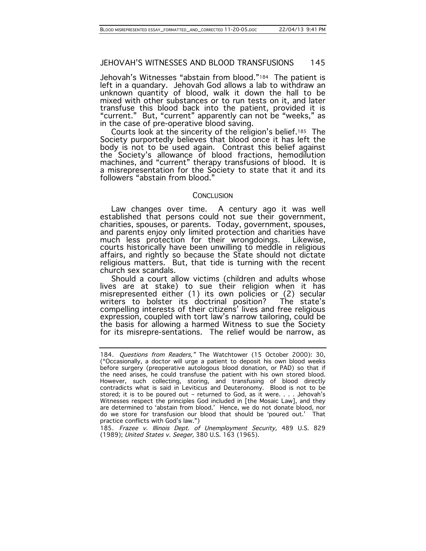Jehovah's Witnesses "abstain from blood."184 The patient is left in a quandary. Jehovah God allows a lab to withdraw an unknown quantity of blood, walk it down the hall to be mixed with other substances or to run tests on it, and later transfuse this blood back into the patient, provided it is "current." But, "current" apparently can not be "weeks," as in the case of pre-operative blood saving.

Courts look at the sincerity of the religion's belief.185 The Society purportedly believes that blood once it has left the body is not to be used again. Contrast this belief against the Society's allowance of blood fractions, hemodilution machines, and "current" therapy transfusions of blood. It is a misrepresentation for the Society to state that it and its followers "abstain from blood."

#### **CONCLUSION**

Law changes over time. A century ago it was well established that persons could not sue their government, charities, spouses, or parents. Today, government, spouses, and parents enjoy only limited protection and charities have much less protection for their wrongdoings. Likewise, courts historically have been unwilling to meddle in religious affairs, and rightly so because the State should not dictate religious matters. But, that tide is turning with the recent church sex scandals.

Should a court allow victims (children and adults whose lives are at stake) to sue their religion when it has misrepresented either (1) its own policies or (2) secular<br>writers to bolster its doctrinal position? The state's writers to bolster its doctrinal position? The state's compelling interests of their citizens' lives and free religious expression, coupled with tort law's narrow tailoring, could be the basis for allowing a harmed Witness to sue the Society for its misrepre-sentations. The relief would be narrow, as

<sup>184</sup>. Questions from Readers," The Watchtower (15 October 2000): 30, ("Occasionally, a doctor will urge a patient to deposit his own blood weeks before surgery (preoperative autologous blood donation, or PAD) so that if the need arises, he could transfuse the patient with his own stored blood. However, such collecting, storing, and transfusing of blood directly contradicts what is said in Leviticus and Deuteronomy. Blood is not to be stored; it is to be poured out – returned to God, as it were. . . . Jehovah's Witnesses respect the principles God included in [the Mosaic Law], and they are determined to 'abstain from blood.' Hence, we do not donate blood, nor do we store for transfusion our blood that should be 'poured out.' That practice conflicts with God's law.")

<sup>185</sup>. Frazee v. Illinois Dept. of Unemployment Security, 489 U.S. 829 (1989); United States v. Seeger, 380 U.S. 163 (1965).